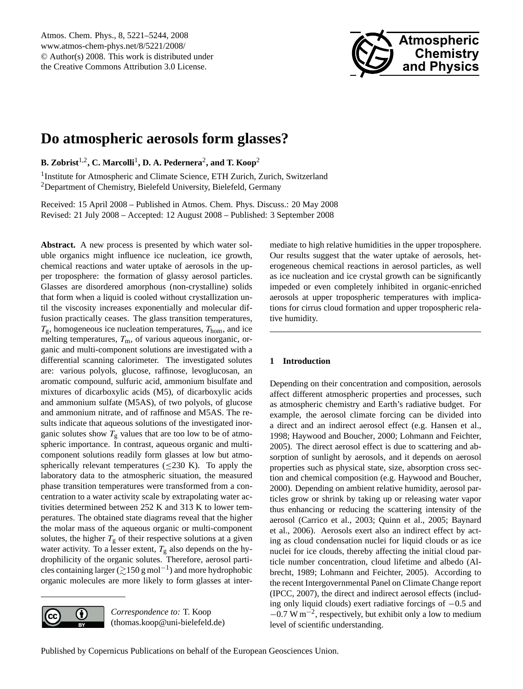

# **Do atmospheric aerosols form glasses?**

**B. Zobrist**1,2**, C. Marcolli**<sup>1</sup> **, D. A. Pedernera**<sup>2</sup> **, and T. Koop**<sup>2</sup>

<sup>1</sup> Institute for Atmospheric and Climate Science, ETH Zurich, Zurich, Switzerland <sup>2</sup>Department of Chemistry, Bielefeld University, Bielefeld, Germany

Received: 15 April 2008 – Published in Atmos. Chem. Phys. Discuss.: 20 May 2008 Revised: 21 July 2008 – Accepted: 12 August 2008 – Published: 3 September 2008

**Abstract.** A new process is presented by which water soluble organics might influence ice nucleation, ice growth, chemical reactions and water uptake of aerosols in the upper troposphere: the formation of glassy aerosol particles. Glasses are disordered amorphous (non-crystalline) solids that form when a liquid is cooled without crystallization until the viscosity increases exponentially and molecular diffusion practically ceases. The glass transition temperatures,  $T_{\rm g}$ , homogeneous ice nucleation temperatures,  $T_{\rm hom}$ , and ice melting temperatures,  $T<sub>m</sub>$ , of various aqueous inorganic, organic and multi-component solutions are investigated with a differential scanning calorimeter. The investigated solutes are: various polyols, glucose, raffinose, levoglucosan, an aromatic compound, sulfuric acid, ammonium bisulfate and mixtures of dicarboxylic acids (M5), of dicarboxylic acids and ammonium sulfate (M5AS), of two polyols, of glucose and ammonium nitrate, and of raffinose and M5AS. The results indicate that aqueous solutions of the investigated inorganic solutes show  $T_g$  values that are too low to be of atmospheric importance. In contrast, aqueous organic and multicomponent solutions readily form glasses at low but atmospherically relevant temperatures ( $\leq$ 230 K). To apply the laboratory data to the atmospheric situation, the measured phase transition temperatures were transformed from a concentration to a water activity scale by extrapolating water activities determined between 252 K and 313 K to lower temperatures. The obtained state diagrams reveal that the higher the molar mass of the aqueous organic or multi-component solutes, the higher  $T<sub>g</sub>$  of their respective solutions at a given water activity. To a lesser extent,  $T_g$  also depends on the hydrophilicity of the organic solutes. Therefore, aerosol particles containing larger ( $\gtrsim$ 150 g mol<sup>-1</sup>) and more hydrophobic organic molecules are more likely to form glasses at inter-

 $\left( \cdot \right)$ (cc

*Correspondence to:* T. Koop (thomas.koop@uni-bielefeld.de) mediate to high relative humidities in the upper troposphere. Our results suggest that the water uptake of aerosols, heterogeneous chemical reactions in aerosol particles, as well as ice nucleation and ice crystal growth can be significantly impeded or even completely inhibited in organic-enriched aerosols at upper tropospheric temperatures with implications for cirrus cloud formation and upper tropospheric relative humidity.

### **1 Introduction**

Depending on their concentration and composition, aerosols affect different atmospheric properties and processes, such as atmospheric chemistry and Earth's radiative budget. For example, the aerosol climate forcing can be divided into a direct and an indirect aerosol effect (e.g. Hansen et al., 1998; Haywood and Boucher, 2000; Lohmann and Feichter, 2005). The direct aerosol effect is due to scattering and absorption of sunlight by aerosols, and it depends on aerosol properties such as physical state, size, absorption cross section and chemical composition (e.g. Haywood and Boucher, 2000). Depending on ambient relative humidity, aerosol particles grow or shrink by taking up or releasing water vapor thus enhancing or reducing the scattering intensity of the aerosol (Carrico et al., 2003; Quinn et al., 2005; Baynard et al., 2006). Aerosols exert also an indirect effect by acting as cloud condensation nuclei for liquid clouds or as ice nuclei for ice clouds, thereby affecting the initial cloud particle number concentration, cloud lifetime and albedo (Albrecht, 1989; Lohmann and Feichter, 2005). According to the recent Intergovernmental Panel on Climate Change report (IPCC, 2007), the direct and indirect aerosol effects (including only liquid clouds) exert radiative forcings of −0.5 and −0.7 W m−<sup>2</sup> , respectively, but exhibit only a low to medium level of scientific understanding.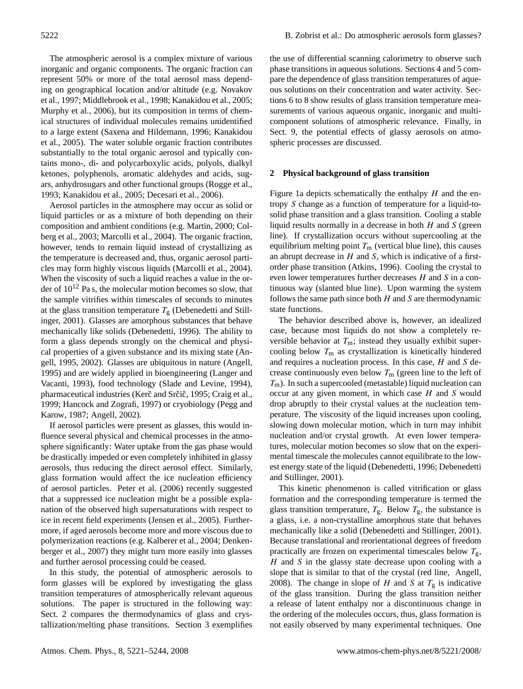The atmospheric aerosol is a complex mixture of various inorganic and organic components. The organic fraction can represent 50% or more of the total aerosol mass depending on geographical location and/or altitude (e.g. Novakov et al., 1997; Middlebrook et al., 1998; Kanakidou et al., 2005; Murphy et al., 2006), but its composition in terms of chemical structures of individual molecules remains unidentified to a large extent (Saxena and Hildemann, 1996; Kanakidou et al., 2005). The water soluble organic fraction contributes substantially to the total organic aerosol and typically contains mono-, di- and polycarboxylic acids, polyols, dialkyl ketones, polyphenols, aromatic aldehydes and acids, sugars, anhydrosugars and other functional groups (Rogge et al., 1993; Kanakidou et al., 2005; Decesari et al., 2006).

Aerosol particles in the atmosphere may occur as solid or liquid particles or as a mixture of both depending on their composition and ambient conditions (e.g. Martin, 2000; Colberg et al., 2003; Marcolli et al., 2004). The organic fraction, however, tends to remain liquid instead of crystallizing as the temperature is decreased and, thus, organic aerosol particles may form highly viscous liquids (Marcolli et al., 2004). When the viscosity of such a liquid reaches a value in the order of  $10^{12}$  Pa s, the molecular motion becomes so slow, that the sample vitrifies within timescales of seconds to minutes at the glass transition temperature  $T_{\rm g}$  (Debenedetti and Stillinger, 2001). Glasses are amorphous substances that behave mechanically like solids (Debenedetti, 1996). The ability to form a glass depends strongly on the chemical and physical properties of a given substance and its mixing state (Angell, 1995, 2002). Glasses are ubiquitous in nature (Angell, 1995) and are widely applied in bioengineering (Langer and Vacanti, 1993), food technology (Slade and Levine, 1994), pharmaceutical industries (Kerč and Srčič, 1995; Craig et al., 1999; Hancock and Zografi, 1997) or cryobiology (Pegg and Karow, 1987; Angell, 2002).

If aerosol particles were present as glasses, this would influence several physical and chemical processes in the atmosphere significantly: Water uptake from the gas phase would be drastically impeded or even completely inhibited in glassy aerosols, thus reducing the direct aerosol effect. Similarly, glass formation would affect the ice nucleation efficiency of aerosol particles. Peter et al. (2006) recently suggested that a suppressed ice nucleation might be a possible explanation of the observed high supersaturations with respect to ice in recent field experiments (Jensen et al., 2005). Furthermore, if aged aerosols become more and more viscous due to polymerization reactions (e.g. Kalberer et al., 2004; Denkenberger et al., 2007) they might turn more easily into glasses and further aerosol processing could be ceased.

In this study, the potential of atmospheric aerosols to form glasses will be explored by investigating the glass transition temperatures of atmospherically relevant aqueous solutions. The paper is structured in the following way: Sect. 2 compares the thermodynamics of glass and crystallization/melting phase transitions. Section 3 exemplifies

the use of differential scanning calorimetry to observe such phase transitions in aqueous solutions. Sections 4 and 5 compare the dependence of glass transition temperatures of aqueous solutions on their concentration and water activity. Sections 6 to 8 show results of glass transition temperature measurements of various aqueous organic, inorganic and multicomponent solutions of atmospheric relevance. Finally, in Sect. 9, the potential effects of glassy aerosols on atmospheric processes are discussed.

#### **2 Physical background of glass transition**

Figure 1a depicts schematically the enthalpy  $H$  and the entropy S change as a function of temperature for a liquid-tosolid phase transition and a glass transition. Cooling a stable liquid results normally in a decrease in both  $H$  and  $S$  (green line). If crystallization occurs without supercooling at the equilibrium melting point  $T<sub>m</sub>$  (vertical blue line), this causes an abrupt decrease in  $H$  and  $S$ , which is indicative of a firstorder phase transition (Atkins, 1996). Cooling the crystal to even lower temperatures further decreases H and S in a continuous way (slanted blue line). Upon warming the system follows the same path since both  $H$  and  $S$  are thermodynamic state functions.

The behavior described above is, however, an idealized case, because most liquids do not show a completely reversible behavior at  $T_m$ ; instead they usually exhibit supercooling below  $T<sub>m</sub>$  as crystallization is kinetically hindered and requires a nucleation process. In this case,  $H$  and  $S$  decrease continuously even below  $T_m$  (green line to the left of  $T<sub>m</sub>$ ). In such a supercooled (metastable) liquid nucleation can occur at any given moment, in which case  $H$  and  $S$  would drop abruptly to their crystal values at the nucleation temperature. The viscosity of the liquid increases upon cooling, slowing down molecular motion, which in turn may inhibit nucleation and/or crystal growth. At even lower temperatures, molecular motion becomes so slow that on the experimental timescale the molecules cannot equilibrate to the lowest energy state of the liquid (Debenedetti, 1996; Debenedetti and Stillinger, 2001).

This kinetic phenomenon is called vitrification or glass formation and the corresponding temperature is termed the glass transition temperature,  $T_g$ . Below  $T_g$ , the substance is a glass, i.e. a non-crystalline amorphous state that behaves mechanically like a solid (Debenedetti and Stillinger, 2001). Because translational and reorientational degrees of freedom practically are frozen on experimental timescales below  $T_{\rm g}$ ,  $H$  and  $S$  in the glassy state decrease upon cooling with a slope that is similar to that of the crystal (red line, Angell, 2008). The change in slope of H and S at  $T<sub>g</sub>$  is indicative of the glass transition. During the glass transition neither a release of latent enthalpy nor a discontinuous change in the ordering of the molecules occurs, thus, glass formation is not easily observed by many experimental techniques. One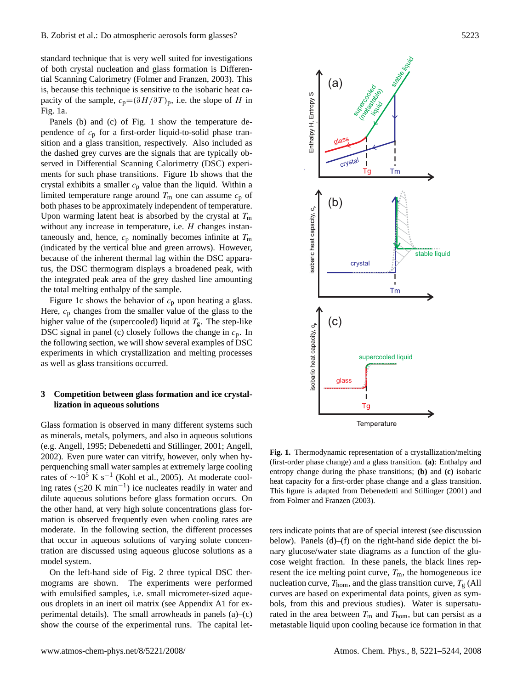standard technique that is very well suited for investigations of both crystal nucleation and glass formation is Differential Scanning Calorimetry (Folmer and Franzen, 2003). This is, because this technique is sensitive to the isobaric heat capacity of the sample,  $c_p=(\partial H/\partial T)_p$ , i.e. the slope of H in Fig. 1a.

Panels (b) and (c) of Fig. 1 show the temperature dependence of  $c_p$  for a first-order liquid-to-solid phase transition and a glass transition, respectively. Also included as the dashed grey curves are the signals that are typically observed in Differential Scanning Calorimetry (DSC) experiments for such phase transitions. Figure 1b shows that the crystal exhibits a smaller  $c_p$  value than the liquid. Within a limited temperature range around  $T<sub>m</sub>$  one can assume  $c<sub>p</sub>$  of both phases to be approximately independent of temperature. Upon warming latent heat is absorbed by the crystal at  $T<sub>m</sub>$ without any increase in temperature, i.e. *H* changes instantaneously and, hence,  $c_p$  nominally becomes infinite at  $T_m$ (indicated by the vertical blue and green arrows). However, because of the inherent thermal lag within the DSC apparatus, the DSC thermogram displays a broadened peak, with the integrated peak area of the grey dashed line amounting the total melting enthalpy of the sample.

Figure 1c shows the behavior of  $c_p$  upon heating a glass. Here,  $c_p$  changes from the smaller value of the glass to the higher value of the (supercooled) liquid at  $T<sub>g</sub>$ . The step-like DSC signal in panel (c) closely follows the change in  $c_p$ . In the following section, we will show several examples of DSC experiments in which crystallization and melting processes as well as glass transitions occurred.

### **3 Competition between glass formation and ice crystallization in aqueous solutions**

Glass formation is observed in many different systems such as minerals, metals, polymers, and also in aqueous solutions (e.g. Angell, 1995; Debenedetti and Stillinger, 2001; Angell, 2002). Even pure water can vitrify, however, only when hyperquenching small water samples at extremely large cooling rates of  $\sim$ 10<sup>5</sup> K s<sup>-1</sup> (Kohl et al., 2005). At moderate cooling rates ( $≤20$  K min<sup>-1</sup>) ice nucleates readily in water and dilute aqueous solutions before glass formation occurs. On the other hand, at very high solute concentrations glass formation is observed frequently even when cooling rates are moderate. In the following section, the different processes that occur in aqueous solutions of varying solute concentration are discussed using aqueous glucose solutions as a model system.

On the left-hand side of Fig. 2 three typical DSC thermograms are shown. The experiments were performed with emulsified samples, i.e. small micrometer-sized aqueous droplets in an inert oil matrix (see Appendix A1 for experimental details). The small arrowheads in panels  $(a)$ – $(c)$ show the course of the experimental runs. The capital let-



**Fig. 1.** Thermodynamic representation of a crystallization/melting (first-order phase change) and a glass transition. **(a)**: Enthalpy and entropy change during the phase transitions; **(b)** and **(c)** isobaric heat capacity for a first-order phase change and a glass transition. This figure is adapted from Debenedetti and Stillinger (2001) and from Folmer and Franzen (2003).

ters indicate points that are of special interest (see discussion below). Panels (d)–(f) on the right-hand side depict the binary glucose/water state diagrams as a function of the glucose weight fraction. In these panels, the black lines represent the ice melting point curve,  $T<sub>m</sub>$ , the homogeneous ice nucleation curve,  $T_{\text{hom}}$ , and the glass transition curve,  $T_{\text{g}}$  (All curves are based on experimental data points, given as symbols, from this and previous studies). Water is supersaturated in the area between  $T_m$  and  $T_{\text{hom}}$ , but can persist as a metastable liquid upon cooling because ice formation in that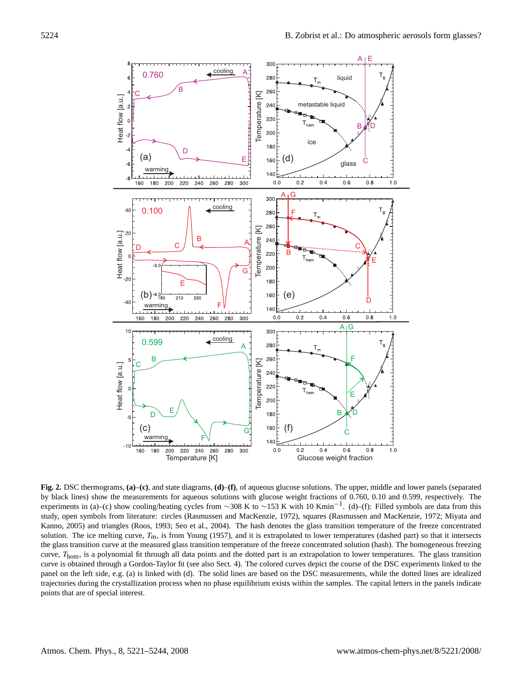

**Fig. 2.** DSC thermograms, **(a)**–**(c)**, and state diagrams, **(d)**–**(f)**, of aqueous glucose solutions. The upper, middle and lower panels (separated by black lines) show the measurements for aqueous solutions with glucose weight fractions of 0.760, 0.10 and 0.599, respectively. The experiments in (a)–(c) show cooling/heating cycles from ~308 K to ~153 K with 10 Kmin<sup>-1</sup>. (d)–(f): Filled symbols are data from this study, open symbols from literature: circles (Rasmussen and MacKenzie, 1972), squares (Rasmussen and MacKenzie, 1972; Miyata and Kanno, 2005) and triangles (Roos, 1993; Seo et al., 2004). The hash denotes the glass transition temperature of the freeze concentrated solution. The ice melting curve,  $T_m$ , is from Young (1957), and it is extrapolated to lower temperatures (dashed part) so that it intersects the glass transition curve at the measured glass transition temperature of the freeze concentrated solution (hash). The homogeneous freezing curve, T<sub>hom</sub>, is a polynomial fit through all data points and the dotted part is an extrapolation to lower temperatures. The glass transition curve is obtained through a Gordon-Taylor fit (see also Sect. 4). The colored curves depict the course of the DSC experiments linked to the panel on the left side, e.g. (a) is linked with (d). The solid lines are based on the DSC measurements, while the dotted lines are idealized trajectories during the crystallization process when no phase equilibrium exists within the samples. The capital letters in the panels indicate points that are of special interest.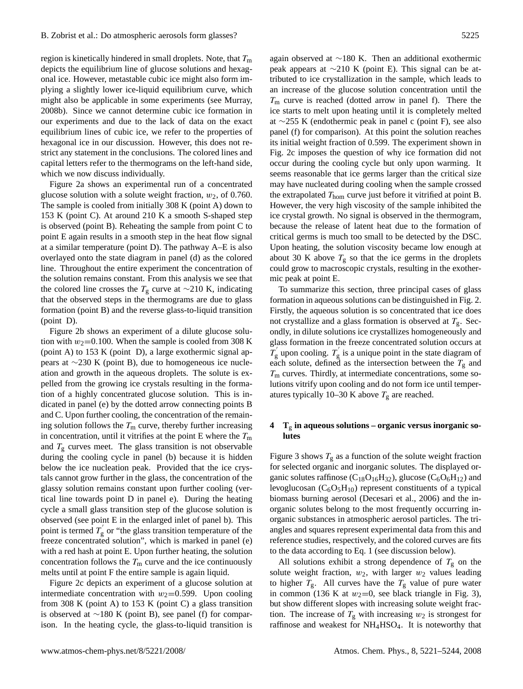region is kinetically hindered in small droplets. Note, that  $T<sub>m</sub>$ depicts the equilibrium line of glucose solutions and hexagonal ice. However, metastable cubic ice might also form implying a slightly lower ice-liquid equilibrium curve, which might also be applicable in some experiments (see Murray, 2008b). Since we cannot determine cubic ice formation in our experiments and due to the lack of data on the exact equilibrium lines of cubic ice, we refer to the properties of hexagonal ice in our discussion. However, this does not restrict any statement in the conclusions. The colored lines and capital letters refer to the thermograms on the left-hand side, which we now discuss individually.

Figure 2a shows an experimental run of a concentrated glucose solution with a solute weight fraction,  $w_2$ , of 0.760. The sample is cooled from initially 308 K (point A) down to 153 K (point C). At around 210 K a smooth S-shaped step is observed (point B). Reheating the sample from point C to point E again results in a smooth step in the heat flow signal at a similar temperature (point D). The pathway A–E is also overlayed onto the state diagram in panel (d) as the colored line. Throughout the entire experiment the concentration of the solution remains constant. From this analysis we see that the colored line crosses the  $T_g$  curve at ~210 K, indicating that the observed steps in the thermograms are due to glass formation (point B) and the reverse glass-to-liquid transition (point D).

Figure 2b shows an experiment of a dilute glucose solution with  $w_2$ =0.100. When the sample is cooled from 308 K (point A) to 153 K (point D), a large exothermic signal appears at ∼230 K (point B), due to homogeneous ice nucleation and growth in the aqueous droplets. The solute is expelled from the growing ice crystals resulting in the formation of a highly concentrated glucose solution. This is indicated in panel (e) by the dotted arrow connecting points B and C. Upon further cooling, the concentration of the remaining solution follows the  $T<sub>m</sub>$  curve, thereby further increasing in concentration, until it vitrifies at the point E where the  $T<sub>m</sub>$ and  $T_g$  curves meet. The glass transition is not observable during the cooling cycle in panel (b) because it is hidden below the ice nucleation peak. Provided that the ice crystals cannot grow further in the glass, the concentration of the glassy solution remains constant upon further cooling (vertical line towards point D in panel e). During the heating cycle a small glass transition step of the glucose solution is observed (see point E in the enlarged inlet of panel b). This point is termed  $T_{\varrho}^{'}$  $\frac{d}{g}$  or "the glass transition temperature of the freeze concentrated solution", which is marked in panel (e) with a red hash at point E. Upon further heating, the solution concentration follows the  $T<sub>m</sub>$  curve and the ice continuously melts until at point F the entire sample is again liquid.

Figure 2c depicts an experiment of a glucose solution at intermediate concentration with  $w_2$ =0.599. Upon cooling from 308 K (point A) to 153 K (point C) a glass transition is observed at ∼180 K (point B), see panel (f) for comparison. In the heating cycle, the glass-to-liquid transition is

again observed at ∼180 K. Then an additional exothermic peak appears at ∼210 K (point E). This signal can be attributed to ice crystallization in the sample, which leads to an increase of the glucose solution concentration until the  $T<sub>m</sub>$  curve is reached (dotted arrow in panel f). There the ice starts to melt upon heating until it is completely melted at ∼255 K (endothermic peak in panel c (point F), see also panel (f) for comparison). At this point the solution reaches its initial weight fraction of 0.599. The experiment shown in Fig. 2c imposes the question of why ice formation did not occur during the cooling cycle but only upon warming. It seems reasonable that ice germs larger than the critical size may have nucleated during cooling when the sample crossed the extrapolated  $T_{\text{hom}}$  curve just before it vitrified at point B. However, the very high viscosity of the sample inhibited the ice crystal growth. No signal is observed in the thermogram, because the release of latent heat due to the formation of critical germs is much too small to be detected by the DSC. Upon heating, the solution viscosity became low enough at about 30 K above  $T_g$  so that the ice germs in the droplets could grow to macroscopic crystals, resulting in the exothermic peak at point E.

To summarize this section, three principal cases of glass formation in aqueous solutions can be distinguished in Fig. 2. Firstly, the aqueous solution is so concentrated that ice does not crystallize and a glass formation is observed at  $T_{\rm g}$ . Secondly, in dilute solutions ice crystallizes homogeneously and glass formation in the freeze concentrated solution occurs at  $\overset{\mathtt{p}}{T_{\mathrm{g}}}$  $r'_{\rm g}$  upon cooling.  $T'_{\rm g}$  $\mathbf{g}$  is a unique point in the state diagram of each solute, defined as the intersection between the  $T_{\rm g}$  and  $T<sub>m</sub>$  curves. Thirdly, at intermediate concentrations, some solutions vitrify upon cooling and do not form ice until temperatures typically 10–30 K above  $T_g$  are reached.

### **4 T**<sup>g</sup> **in aqueous solutions – organic versus inorganic solutes**

Figure 3 shows  $T_g$  as a function of the solute weight fraction for selected organic and inorganic solutes. The displayed organic solutes raffinose  $(C_{18}O_{16}H_{32})$ , glucose  $(C_6O_6H_{12})$  and levoglucosan  $(C_6O_5H_{10})$  represent constituents of a typical biomass burning aerosol (Decesari et al., 2006) and the inorganic solutes belong to the most frequently occurring inorganic substances in atmospheric aerosol particles. The triangles and squares represent experimental data from this and reference studies, respectively, and the colored curves are fits to the data according to Eq. 1 (see discussion below).

All solutions exhibit a strong dependence of  $T_g$  on the solute weight fraction,  $w_2$ , with larger  $w_2$  values leading to higher  $T_g$ . All curves have the  $T_g$  value of pure water in common (136 K at  $w_2=0$ , see black triangle in Fig. 3), but show different slopes with increasing solute weight fraction. The increase of  $T_g$  with increasing  $w_2$  is strongest for raffinose and weakest for NH4HSO4. It is noteworthy that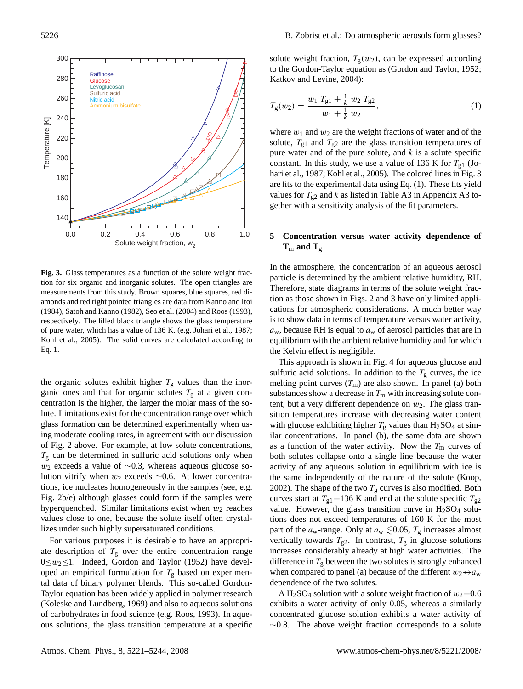

**Fig. 3.** Glass temperatures as a function of the solute weight fraction for six organic and inorganic solutes. The open triangles are measurements from this study. Brown squares, blue squares, red diamonds and red right pointed triangles are data from Kanno and Itoi (1984), Satoh and Kanno (1982), Seo et al. (2004) and Roos (1993), respectively. The filled black triangle shows the glass temperature of pure water, which has a value of 136 K. (e.g. Johari et al., 1987; Kohl et al., 2005). The solid curves are calculated according to Eq. 1.

the organic solutes exhibit higher  $T_g$  values than the inorganic ones and that for organic solutes  $T<sub>g</sub>$  at a given concentration is the higher, the larger the molar mass of the solute. Limitations exist for the concentration range over which glass formation can be determined experimentally when using moderate cooling rates, in agreement with our discussion of Fig. 2 above. For example, at low solute concentrations,  $T_{\rm g}$  can be determined in sulfuric acid solutions only when  $w_2$  exceeds a value of ~0.3, whereas aqueous glucose solution vitrify when  $w_2$  exceeds ∼0.6. At lower concentrations, ice nucleates homogeneously in the samples (see, e.g. Fig. 2b/e) although glasses could form if the samples were hyperquenched. Similar limitations exist when  $w_2$  reaches values close to one, because the solute itself often crystallizes under such highly supersaturated conditions.

For various purposes it is desirable to have an appropriate description of  $T<sub>g</sub>$  over the entire concentration range  $0 \le w_2 \le 1$ . Indeed, Gordon and Taylor (1952) have developed an empirical formulation for  $T_g$  based on experimental data of binary polymer blends. This so-called Gordon-Taylor equation has been widely applied in polymer research (Koleske and Lundberg, 1969) and also to aqueous solutions of carbohydrates in food science (e.g. Roos, 1993). In aqueous solutions, the glass transition temperature at a specific solute weight fraction,  $T_g(w_2)$ , can be expressed according to the Gordon-Taylor equation as (Gordon and Taylor, 1952; Katkov and Levine, 2004):

$$
T_g(w_2) = \frac{w_1 T_{g1} + \frac{1}{k} w_2 T_{g2}}{w_1 + \frac{1}{k} w_2},\tag{1}
$$

where  $w_1$  and  $w_2$  are the weight fractions of water and of the solute,  $T_{g1}$  and  $T_{g2}$  are the glass transition temperatures of pure water and of the pure solute, and  $k$  is a solute specific constant. In this study, we use a value of 136 K for  $T_{g1}$  (Johari et al., 1987; Kohl et al., 2005). The colored lines in Fig. 3 are fits to the experimental data using Eq. (1). These fits yield values for  $T_{g2}$  and k as listed in Table A3 in Appendix A3 together with a sensitivity analysis of the fit parameters.

## **5 Concentration versus water activity dependence of**  $T_m$  and  $T_g$

In the atmosphere, the concentration of an aqueous aerosol particle is determined by the ambient relative humidity, RH. Therefore, state diagrams in terms of the solute weight fraction as those shown in Figs. 2 and 3 have only limited applications for atmospheric considerations. A much better way is to show data in terms of temperature versus water activity,  $a_w$ , because RH is equal to  $a_w$  of aerosol particles that are in equilibrium with the ambient relative humidity and for which the Kelvin effect is negligible.

This approach is shown in Fig. 4 for aqueous glucose and sulfuric acid solutions. In addition to the  $T_g$  curves, the ice melting point curves  $(T_m)$  are also shown. In panel (a) both substances show a decrease in  $T<sub>m</sub>$  with increasing solute content, but a very different dependence on  $w_2$ . The glass transition temperatures increase with decreasing water content with glucose exhibiting higher  $T_g$  values than H<sub>2</sub>SO<sub>4</sub> at similar concentrations. In panel (b), the same data are shown as a function of the water activity. Now the  $T<sub>m</sub>$  curves of both solutes collapse onto a single line because the water activity of any aqueous solution in equilibrium with ice is the same independently of the nature of the solute (Koop, 2002). The shape of the two  $T_g$  curves is also modified. Both curves start at  $T_{\text{g1}}$ =136 K and end at the solute specific  $T_{\text{g2}}$ value. However, the glass transition curve in  $H_2SO_4$  solutions does not exceed temperatures of 160 K for the most part of the  $a_w$ -range. Only at  $a_w \le 0.05$ ,  $T_g$  increases almost vertically towards  $T_{g2}$ . In contrast,  $T_g$  in glucose solutions increases considerably already at high water activities. The difference in  $T_g$  between the two solutes is strongly enhanced when compared to panel (a) because of the different  $w_2 \leftrightarrow a_w$ dependence of the two solutes.

A H<sub>2</sub>SO<sub>4</sub> solution with a solute weight fraction of  $w_2$ =0.6 exhibits a water activity of only 0.05, whereas a similarly concentrated glucose solution exhibits a water activity of ∼0.8. The above weight fraction corresponds to a solute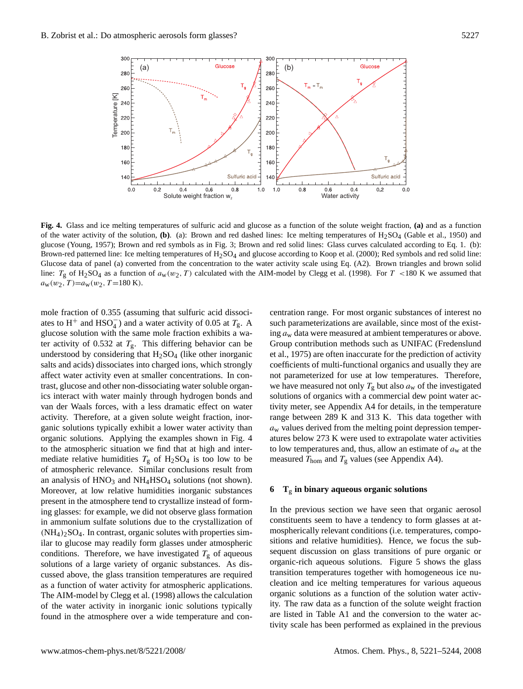

**Fig. 4.** Glass and ice melting temperatures of sulfuric acid and glucose as a function of the solute weight fraction, **(a)** and as a function of the water activity of the solution,  $(b)$ . (a): Brown and red dashed lines: Ice melting temperatures of H<sub>2</sub>SO<sub>4</sub> (Gable et al., 1950) and glucose (Young, 1957); Brown and red symbols as in Fig. 3; Brown and red solid lines: Glass curves calculated according to Eq. 1. (b): Brown-red patterned line: Ice melting temperatures of  $H_2SO_4$  and glucose according to Koop et al. (2000); Red symbols and red solid line: Glucose data of panel (a) converted from the concentration to the water activity scale using Eq. (A2). Brown triangles and brown solid line:  $T_g$  of H<sub>2</sub>SO<sub>4</sub> as a function of  $a_w(w_2, T)$  calculated with the AIM-model by Clegg et al. (1998). For T <180 K we assumed that  $a_w(w_2, T)=a_w(w_2, T=180 \text{ K}).$ 

mole fraction of 0.355 (assuming that sulfuric acid dissociates to H<sup>+</sup> and HSO<sub>4</sub><sup> $-$ </sup>) and a water activity of 0.05 at  $T_g$ . A glucose solution with the same mole fraction exhibits a water activity of 0.532 at  $T_g$ . This differing behavior can be understood by considering that  $H_2SO_4$  (like other inorganic salts and acids) dissociates into charged ions, which strongly affect water activity even at smaller concentrations. In contrast, glucose and other non-dissociating water soluble organics interact with water mainly through hydrogen bonds and van der Waals forces, with a less dramatic effect on water activity. Therefore, at a given solute weight fraction, inorganic solutions typically exhibit a lower water activity than organic solutions. Applying the examples shown in Fig. 4 to the atmospheric situation we find that at high and intermediate relative humidities  $T<sub>g</sub>$  of H<sub>2</sub>SO<sub>4</sub> is too low to be of atmospheric relevance. Similar conclusions result from an analysis of  $HNO<sub>3</sub>$  and  $NH<sub>4</sub>HSO<sub>4</sub>$  solutions (not shown). Moreover, at low relative humidities inorganic substances present in the atmosphere tend to crystallize instead of forming glasses: for example, we did not observe glass formation in ammonium sulfate solutions due to the crystallization of  $(NH_4)$ <sub>2</sub>SO<sub>4</sub>. In contrast, organic solutes with properties similar to glucose may readily form glasses under atmospheric conditions. Therefore, we have investigated  $T_g$  of aqueous solutions of a large variety of organic substances. As discussed above, the glass transition temperatures are required as a function of water activity for atmospheric applications. The AIM-model by Clegg et al. (1998) allows the calculation of the water activity in inorganic ionic solutions typically found in the atmosphere over a wide temperature and concentration range. For most organic substances of interest no such parameterizations are available, since most of the existing  $a_w$  data were measured at ambient temperatures or above. Group contribution methods such as UNIFAC (Fredenslund et al., 1975) are often inaccurate for the prediction of activity coefficients of multi-functional organics and usually they are not parameterized for use at low temperatures. Therefore, we have measured not only  $T_g$  but also  $a_w$  of the investigated solutions of organics with a commercial dew point water activity meter, see Appendix A4 for details, in the temperature range between 289 K and 313 K. This data together with  $a<sub>w</sub>$  values derived from the melting point depression temperatures below 273 K were used to extrapolate water activities to low temperatures and, thus, allow an estimate of  $a_w$  at the measured  $T_{\text{hom}}$  and  $T_{\text{g}}$  values (see Appendix A4).

### **6 T**<sup>g</sup> **in binary aqueous organic solutions**

In the previous section we have seen that organic aerosol constituents seem to have a tendency to form glasses at atmospherically relevant conditions (i.e. temperatures, compositions and relative humidities). Hence, we focus the subsequent discussion on glass transitions of pure organic or organic-rich aqueous solutions. Figure 5 shows the glass transition temperatures together with homogeneous ice nucleation and ice melting temperatures for various aqueous organic solutions as a function of the solution water activity. The raw data as a function of the solute weight fraction are listed in Table A1 and the conversion to the water activity scale has been performed as explained in the previous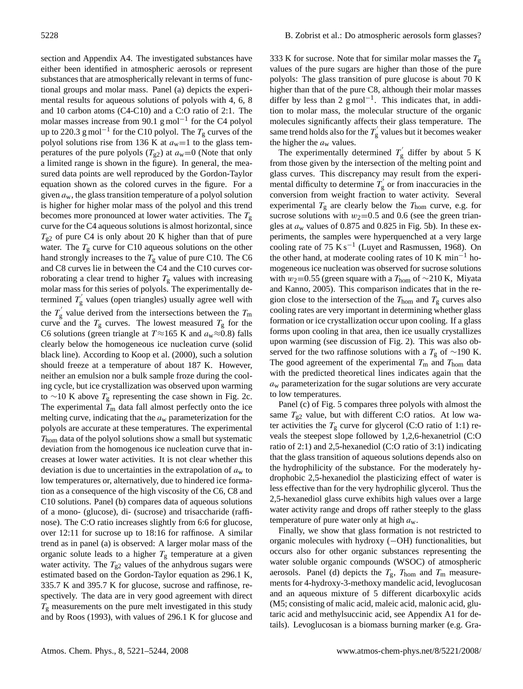section and Appendix A4. The investigated substances have either been identified in atmospheric aerosols or represent substances that are atmospherically relevant in terms of functional groups and molar mass. Panel (a) depicts the experimental results for aqueous solutions of polyols with 4, 6, 8 and 10 carbon atoms (C4-C10) and a C:O ratio of 2:1. The molar masses increase from 90.1 g mol<sup>-1</sup> for the C4 polyol up to 220.3 g mol<sup>−1</sup> for the C10 polyol. The  $T_{\rm g}$  curves of the polyol solutions rise from 136 K at  $a_w=1$  to the glass temperatures of the pure polyols  $(T_{g2})$  at  $a_w=0$  (Note that only a limited range is shown in the figure). In general, the measured data points are well reproduced by the Gordon-Taylor equation shown as the colored curves in the figure. For a given  $a_w$ , the glass transition temperature of a polyol solution is higher for higher molar mass of the polyol and this trend becomes more pronounced at lower water activities. The  $T_{\rm g}$ curve for the C4 aqueous solutions is almost horizontal, since  $T_{g2}$  of pure C4 is only about 20 K higher than that of pure water. The  $T_{\rm g}$  curve for C10 aqueous solutions on the other hand strongly increases to the  $T_g$  value of pure C10. The C6 and C8 curves lie in between the C4 and the C10 curves corroborating a clear trend to higher  $T_g$  values with increasing molar mass for this series of polyols. The experimentally determined  $T_{\rm g}^{'}$  $\gamma_{\rm g}$  values (open triangles) usually agree well with the  $T_{\rm g}^{'}$  $T_{\rm g}$  value derived from the intersections between the  $T_{\rm m}$ curve and the  $T_g$  curves. The lowest measured  $T_g$  for the C6 solutions (green triangle at  $T \approx 165$  K and  $a_w \approx 0.8$ ) falls clearly below the homogeneous ice nucleation curve (solid black line). According to Koop et al. (2000), such a solution should freeze at a temperature of about 187 K. However, neither an emulsion nor a bulk sample froze during the cooling cycle, but ice crystallization was observed upon warming to ∼10 K above  $T_g$  representing the case shown in Fig. 2c. The experimental  $T_{\text{m}}$  data fall almost perfectly onto the ice melting curve, indicating that the  $a_w$  parameterization for the polyols are accurate at these temperatures. The experimental  $T<sub>hom</sub>$  data of the polyol solutions show a small but systematic deviation from the homogenous ice nucleation curve that increases at lower water activities. It is not clear whether this deviation is due to uncertainties in the extrapolation of  $a<sub>w</sub>$  to low temperatures or, alternatively, due to hindered ice formation as a consequence of the high viscosity of the C6, C8 and C10 solutions. Panel (b) compares data of aqueous solutions of a mono- (glucose), di- (sucrose) and trisaccharide (raffinose). The C:O ratio increases slightly from 6:6 for glucose, over 12:11 for sucrose up to 18:16 for raffinose. A similar trend as in panel (a) is observed: A larger molar mass of the organic solute leads to a higher  $T<sub>g</sub>$  temperature at a given water activity. The  $T_{g2}$  values of the anhydrous sugars were estimated based on the Gordon-Taylor equation as 296.1 K, 335.7 K and 395.7 K for glucose, sucrose and raffinose, respectively. The data are in very good agreement with direct  $T_{\rm g}$  measurements on the pure melt investigated in this study and by Roos (1993), with values of 296.1 K for glucose and 333 K for sucrose. Note that for similar molar masses the  $T_g$ values of the pure sugars are higher than those of the pure polyols: The glass transition of pure glucose is about 70 K higher than that of the pure C8, although their molar masses differ by less than 2  $g$  mol<sup>-1</sup>. This indicates that, in addition to molar mass, the molecular structure of the organic molecules significantly affects their glass temperature. The same trend holds also for the  $T_g$ g values but it becomes weaker the higher the  $a_w$  values.

The experimentally determined  $T_{g}^{'}$ g differ by about 5 K from those given by the intersection of the melting point and glass curves. This discrepancy may result from the experimental difficulty to determine  $T_{g}^{'}$  $\frac{y}{g}$  or from inaccuracies in the conversion from weight fraction to water activity. Several experimental  $T_g$  are clearly below the  $T_{\text{hom}}$  curve, e.g. for sucrose solutions with  $w_2=0.5$  and 0.6 (see the green triangles at  $a_w$  values of 0.875 and 0.825 in Fig. 5b). In these experiments, the samples were hyperquenched at a very large cooling rate of 75 K s<sup>-1</sup> (Luyet and Rasmussen, 1968). On the other hand, at moderate cooling rates of 10 K min−<sup>1</sup> homogeneous ice nucleation was observed for sucrose solutions with  $w_2=0.55$  (green square with a  $T_{\text{hom}}$  of ~210 K, Miyata and Kanno, 2005). This comparison indicates that in the region close to the intersection of the  $T_{\text{hom}}$  and  $T_{\text{g}}$  curves also cooling rates are very important in determining whether glass formation or ice crystallization occur upon cooling. If a glass forms upon cooling in that area, then ice usually crystallizes upon warming (see discussion of Fig. 2). This was also observed for the two raffinose solutions with a  $T_g$  of ~190 K. The good agreement of the experimental  $T<sub>m</sub>$  and  $T<sub>hom</sub>$  data with the predicted theoretical lines indicates again that the  $a<sub>w</sub>$  parameterization for the sugar solutions are very accurate to low temperatures.

Panel (c) of Fig. 5 compares three polyols with almost the same  $T_{g2}$  value, but with different C:O ratios. At low water activities the  $T_g$  curve for glycerol (C:O ratio of 1:1) reveals the steepest slope followed by 1,2,6-hexanetriol (C:O ratio of 2:1) and 2,5-hexanediol (C:O ratio of 3:1) indicating that the glass transition of aqueous solutions depends also on the hydrophilicity of the substance. For the moderately hydrophobic 2,5-hexanediol the plasticizing effect of water is less effective than for the very hydrophilic glycerol. Thus the 2,5-hexanediol glass curve exhibits high values over a large water activity range and drops off rather steeply to the glass temperature of pure water only at high  $a_w$ .

Finally, we show that glass formation is not restricted to organic molecules with hydroxy (−OH) functionalities, but occurs also for other organic substances representing the water soluble organic compounds (WSOC) of atmospheric aerosols. Panel (d) depicts the  $T_{\rm g}$ ,  $T_{\rm hom}$  and  $T_{\rm m}$  measurements for 4-hydroxy-3-methoxy mandelic acid, levoglucosan and an aqueous mixture of 5 different dicarboxylic acids (M5; consisting of malic acid, maleic acid, malonic acid, glutaric acid and methylsuccinic acid, see Appendix A1 for details). Levoglucosan is a biomass burning marker (e.g. Gra-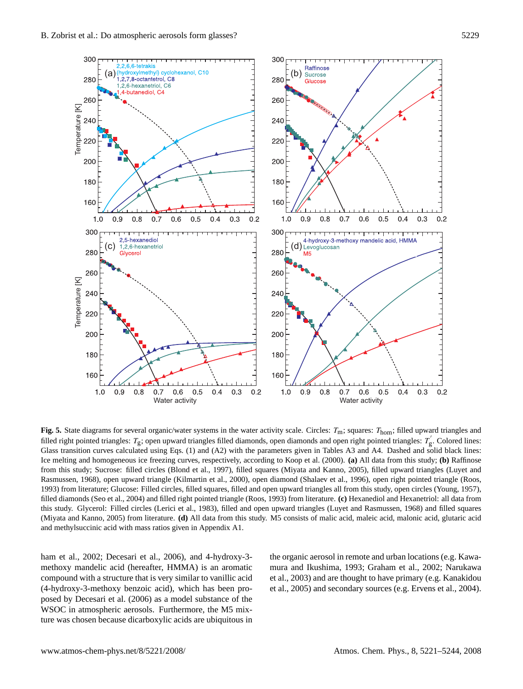

**Fig. 5.** State diagrams for several organic/water systems in the water activity scale. Circles:  $T_m$ ; squares:  $T_{\text{hom}}$ ; filled upward triangles and filled right pointed triangles:  $T_g$ ; open upward triangles filled diamonds, open diamonds and open right pointed triangles:  $T_g'$ . Colored lines: Glass transition curves calculated using Eqs. (1) and (A2) with the parameters given in Tables A3 and A4. Dashed and solid black lines: Ice melting and homogeneous ice freezing curves, respectively, according to Koop et al. (2000). **(a)** All data from this study; **(b)** Raffinose from this study; Sucrose: filled circles (Blond et al., 1997), filled squares (Miyata and Kanno, 2005), filled upward triangles (Luyet and Rasmussen, 1968), open upward triangle (Kilmartin et al., 2000), open diamond (Shalaev et al., 1996), open right pointed triangle (Roos, 1993) from literature; Glucose: Filled circles, filled squares, filled and open upward triangles all from this study, open circles (Young, 1957), filled diamonds (Seo et al., 2004) and filled right pointed triangle (Roos, 1993) from literature. **(c)** Hexanediol and Hexanetriol: all data from this study. Glycerol: Filled circles (Lerici et al., 1983), filled and open upward triangles (Luyet and Rasmussen, 1968) and filled squares (Miyata and Kanno, 2005) from literature. **(d)** All data from this study. M5 consists of malic acid, maleic acid, malonic acid, glutaric acid and methylsuccinic acid with mass ratios given in Appendix A1.

ham et al., 2002; Decesari et al., 2006), and 4-hydroxy-3 methoxy mandelic acid (hereafter, HMMA) is an aromatic compound with a structure that is very similar to vanillic acid (4-hydroxy-3-methoxy benzoic acid), which has been proposed by Decesari et al. (2006) as a model substance of the WSOC in atmospheric aerosols. Furthermore, the M5 mixture was chosen because dicarboxylic acids are ubiquitous in

the organic aerosol in remote and urban locations (e.g. Kawamura and Ikushima, 1993; Graham et al., 2002; Narukawa et al., 2003) and are thought to have primary (e.g. Kanakidou et al., 2005) and secondary sources (e.g. Ervens et al., 2004).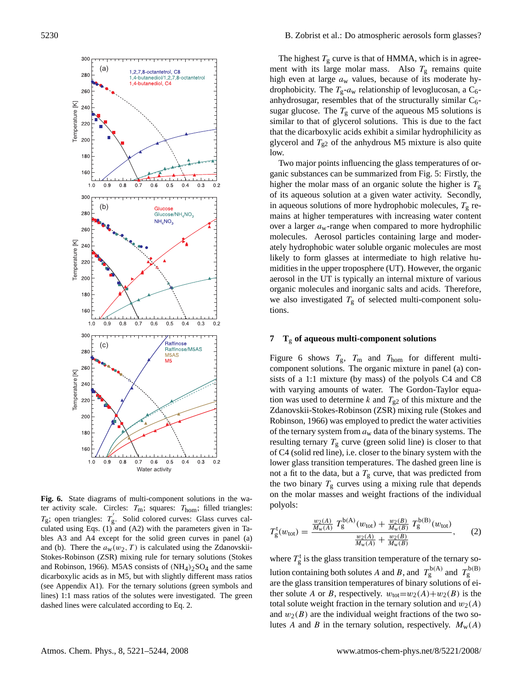

**Fig. 6.** State diagrams of multi-component solutions in the water activity scale. Circles:  $T_m$ ; squares:  $T_{\text{hom}}$ ; filled triangles:  $T_g$ ; open triangles:  $T_g'$ . Solid colored curves: Glass curves calculated using Eqs. (1) and (A2) with the parameters given in Tables A3 and A4 except for the solid green curves in panel (a) and (b). There the  $a_w(w_2, T)$  is calculated using the Zdanovskii-Stokes-Robinson (ZSR) mixing rule for ternary solutions (Stokes and Robinson, 1966). M5AS consists of  $(NH<sub>4</sub>)<sub>2</sub>SO<sub>4</sub>$  and the same dicarboxylic acids as in M5, but with slightly different mass ratios (see Appendix A1). For the ternary solutions (green symbols and lines) 1:1 mass ratios of the solutes were investigated. The green dashed lines were calculated according to Eq. 2.

The highest  $T<sub>g</sub>$  curve is that of HMMA, which is in agreement with its large molar mass. Also  $T<sub>g</sub>$  remains quite high even at large  $a_w$  values, because of its moderate hydrophobicity. The  $T_g-a_w$  relationship of levoglucosan, a  $C_6$ anhydrosugar, resembles that of the structurally similar  $C_6$ sugar glucose. The  $T<sub>g</sub>$  curve of the aqueous M5 solutions is similar to that of glycerol solutions. This is due to the fact that the dicarboxylic acids exhibit a similar hydrophilicity as glycerol and  $T_{g2}$  of the anhydrous M5 mixture is also quite low.

Two major points influencing the glass temperatures of organic substances can be summarized from Fig. 5: Firstly, the higher the molar mass of an organic solute the higher is  $T_g$ of its aqueous solution at a given water activity. Secondly, in aqueous solutions of more hydrophobic molecules,  $T_g$  remains at higher temperatures with increasing water content over a larger  $a_w$ -range when compared to more hydrophilic molecules. Aerosol particles containing large and moderately hydrophobic water soluble organic molecules are most likely to form glasses at intermediate to high relative humidities in the upper troposphere (UT). However, the organic aerosol in the UT is typically an internal mixture of various organic molecules and inorganic salts and acids. Therefore, we also investigated  $T<sub>g</sub>$  of selected multi-component solutions.

### **7 T**<sup>g</sup> **of aqueous multi-component solutions**

Figure 6 shows  $T_{\rm g}$ ,  $T_{\rm m}$  and  $T_{\rm hom}$  for different multicomponent solutions. The organic mixture in panel (a) consists of a 1:1 mixture (by mass) of the polyols C4 and C8 with varying amounts of water. The Gordon-Taylor equation was used to determine k and  $T_{g2}$  of this mixture and the Zdanovskii-Stokes-Robinson (ZSR) mixing rule (Stokes and Robinson, 1966) was employed to predict the water activities of the ternary system from  $a_w$  data of the binary systems. The resulting ternary  $T_g$  curve (green solid line) is closer to that of C4 (solid red line), i.e. closer to the binary system with the lower glass transition temperatures. The dashed green line is not a fit to the data, but a  $T<sub>g</sub>$  curve, that was predicted from the two binary  $T<sub>g</sub>$  curves using a mixing rule that depends on the molar masses and weight fractions of the individual polyols:

$$
T_{\rm g}^{\rm t}(w_{\rm tot}) = \frac{\frac{w_2(A)}{M_{\rm w}(A)} T_{\rm g}^{\rm b(A)}(w_{\rm tot}) + \frac{w_2(B)}{M_{\rm w}(B)} T_{\rm g}^{\rm b(B)}(w_{\rm tot})}{\frac{w_2(A)}{M_{\rm w}(A)} + \frac{w_2(B)}{M_{\rm w}(B)}},\qquad(2)
$$

where  $T_g^t$  is the glass transition temperature of the ternary solution containing both solutes A and B, and  $T_g^{b(A)}$  and  $T_g^{b(B)}$ are the glass transition temperatures of binary solutions of either solute A or B, respectively.  $w_{\text{tot}}=w_2(A)+w_2(B)$  is the total solute weight fraction in the ternary solution and  $w_2(A)$ and  $w_2(B)$  are the individual weight fractions of the two solutes A and B in the ternary solution, respectively.  $M_w(A)$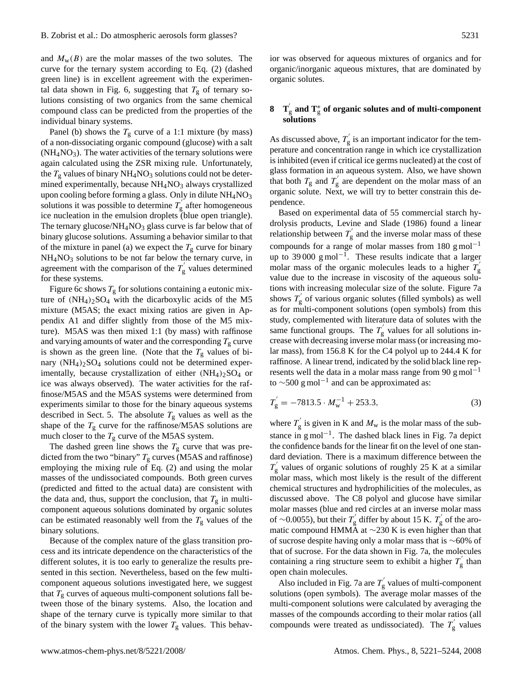and  $M_w(B)$  are the molar masses of the two solutes. The curve for the ternary system according to Eq. (2) (dashed green line) is in excellent agreement with the experimental data shown in Fig. 6, suggesting that  $T_g$  of ternary solutions consisting of two organics from the same chemical compound class can be predicted from the properties of the individual binary systems.

Panel (b) shows the  $T_g$  curve of a 1:1 mixture (by mass) of a non-dissociating organic compound (glucose) with a salt  $(NH<sub>4</sub>NO<sub>3</sub>)$ . The water activities of the ternary solutions were again calculated using the ZSR mixing rule. Unfortunately, the  $T_g$  values of binary NH<sub>4</sub>NO<sub>3</sub> solutions could not be determined experimentally, because  $NH<sub>4</sub>NO<sub>3</sub>$  always crystallized upon cooling before forming a glass. Only in dilute  $NH<sub>4</sub>NO<sub>3</sub>$ solutions it was possible to determine  $T_g$ g after homogeneous ice nucleation in the emulsion droplets (blue open triangle). The ternary glucose/ $NH<sub>4</sub>NO<sub>3</sub>$  glass curve is far below that of binary glucose solutions. Assuming a behavior similar to that of the mixture in panel (a) we expect the  $T<sub>g</sub>$  curve for binary  $NH<sub>4</sub>NO<sub>3</sub>$  solutions to be not far below the ternary curve, in agreement with the comparison of the  $T_{g}^{'}$ g values determined for these systems.

Figure 6c shows  $T_g$  for solutions containing a eutonic mixture of  $(NH_4)_2SO_4$  with the dicarboxylic acids of the M5 mixture (M5AS; the exact mixing ratios are given in Appendix A1 and differ slightly from those of the M5 mixture). M5AS was then mixed 1:1 (by mass) with raffinose and varying amounts of water and the corresponding  $T_g$  curve is shown as the green line. (Note that the  $T_g$  values of binary  $(NH_4)_2SO_4$  solutions could not be determined experimentally, because crystallization of either  $(NH_4)_2SO_4$  or ice was always observed). The water activities for the raffinose/M5AS and the M5AS systems were determined from experiments similar to those for the binary aqueous systems described in Sect. 5. The absolute  $T_g$  values as well as the shape of the  $T_{\rm g}$  curve for the raffinose/M5AS solutions are much closer to the  $T_g$  curve of the M5AS system.

The dashed green line shows the  $T_g$  curve that was predicted from the two "binary"  $T_g$  curves (M5AS and raffinose) employing the mixing rule of Eq. (2) and using the molar masses of the undissociated compounds. Both green curves (predicted and fitted to the actual data) are consistent with the data and, thus, support the conclusion, that  $T<sub>g</sub>$  in multicomponent aqueous solutions dominated by organic solutes can be estimated reasonably well from the  $T_{\rm g}$  values of the binary solutions.

Because of the complex nature of the glass transition process and its intricate dependence on the characteristics of the different solutes, it is too early to generalize the results presented in this section. Nevertheless, based on the few multicomponent aqueous solutions investigated here, we suggest that  $T_{\rm g}$  curves of aqueous multi-component solutions fall between those of the binary systems. Also, the location and shape of the ternary curve is typically more similar to that of the binary system with the lower  $T_g$  values. This behavior was observed for aqueous mixtures of organics and for organic/inorganic aqueous mixtures, that are dominated by organic solutes.

# **8 T**<sup>'</sup><sub>g</sub> **and T**<sup>\*</sup><sub>g</sub> **of organic solutes and of multi-component solutions**

As discussed above,  $T_g$  $\mathbf{g}$  is an important indicator for the temperature and concentration range in which ice crystallization is inhibited (even if critical ice germs nucleated) at the cost of glass formation in an aqueous system. Also, we have shown that both  $T_{\rm g}$  and  $T_{\rm g}$  $\frac{1}{g}$  are dependent on the molar mass of an organic solute. Next, we will try to better constrain this dependence.

Based on experimental data of 55 commercial starch hydrolysis products, Levine and Slade (1986) found a linear relationship between  $T_g$  $\frac{1}{g}$  and the inverse molar mass of these compounds for a range of molar masses from 180 g mol<sup>-1</sup> up to 39 000 g mol<sup>-1</sup>. These results indicate that a larger molar mass of the organic molecules leads to a higher  $T_{\text{g}}$ value due to the increase in viscosity of the aqueous solutions with increasing molecular size of the solute. Figure 7a shows  $T_{\rm g}^{'}$  $\frac{1}{g}$  of various organic solutes (filled symbols) as well as for multi-component solutions (open symbols) from this study, complemented with literature data of solutes with the same functional groups. The  $T_{\rm g}$  $\int_{g}^{\infty}$  values for all solutions increase with decreasing inverse molar mass (or increasing molar mass), from 156.8 K for the C4 polyol up to 244.4 K for raffinose. A linear trend, indicated by the solid black line represents well the data in a molar mass range from 90 g mol<sup>-1</sup> to  $\sim$ 500 g mol<sup>-1</sup> and can be approximated as:

$$
T'_{g} = -7813.5 \cdot M_{w}^{-1} + 253.3,
$$
 (3)

where  $T_{\rm g}^{'}$  $g_{\rm g}$  is given in K and  $M_{\rm w}$  is the molar mass of the substance in g mol<sup>-1</sup>. The dashed black lines in Fig. 7a depict the confidence bands for the linear fit on the level of one standard deviation. There is a maximum difference between the  $T_{\rm g}^{'}$  $\gamma_{\rm g}$  values of organic solutions of roughly 25 K at a similar molar mass, which most likely is the result of the different chemical structures and hydrophilicities of the molecules, as discussed above. The C8 polyol and glucose have similar molar masses (blue and red circles at an inverse molar mass of ~0.0055), but their  $T_p'$  $\sigma_{\rm g}^{'}$  differ by about 15 K.  $T_{\rm g}^{'}$  $\frac{y}{g}$  of the aromatic compound HMMA at ∼230 K is even higher than that of sucrose despite having only a molar mass that is ∼60% of that of sucrose. For the data shown in Fig. 7a, the molecules containing a ring structure seem to exhibit a higher  $T_{\text{g}}$  $\mathbf{g}^{\prime}$  than open chain molecules.

Also included in Fig. 7a are  $T_{\varrho}^{'}$  $\frac{v}{g}$  values of multi-component solutions (open symbols). The average molar masses of the multi-component solutions were calculated by averaging the masses of the compounds according to their molar ratios (all compounds were treated as undissociated). The  $T_s$  $\mathbf{g}'$  values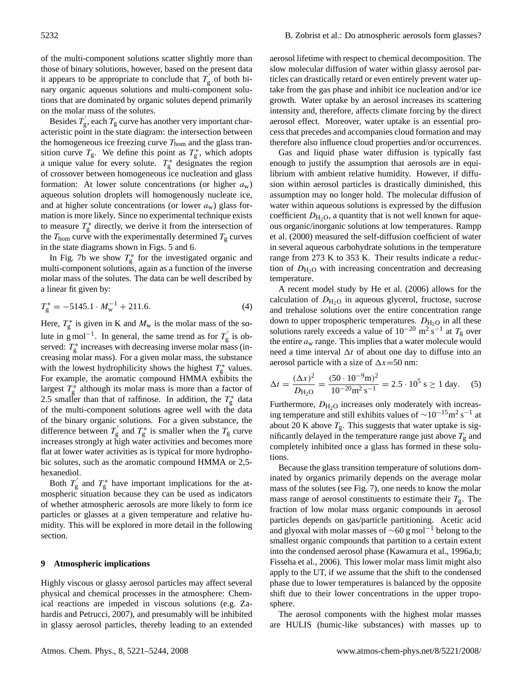of the multi-component solutions scatter slightly more than those of binary solutions, however, based on the present data it appears to be appropriate to conclude that  $T_{g}^{'}$ g of both binary organic aqueous solutions and multi-component solutions that are dominated by organic solutes depend primarily on the molar mass of the solutes.

Besides  $T_{\rm g}^{'}$  $T_{\rm g}$ , each  $T_{\rm g}$  curve has another very important characteristic point in the state diagram: the intersection between the homogeneous ice freezing curve  $T_{\text{hom}}$  and the glass transition curve  $T_g$ . We define this point as  $T_g^*$ , which adopts a unique value for every solute.  $T_g^*$  designates the region of crossover between homogeneous ice nucleation and glass formation: At lower solute concentrations (or higher  $a_w$ ) aqueous solution droplets will homogenously nucleate ice, and at higher solute concentrations (or lower  $a_w$ ) glass formation is more likely. Since no experimental technique exists to measure  $T_g^*$  directly, we derive it from the intersection of the  $T_{\text{hom}}$  curve with the experimentally determined  $T_{\text{g}}$  curves in the state diagrams shown in Figs. 5 and 6.

In Fig. 7b we show  $T_g^*$  for the investigated organic and multi-component solutions, again as a function of the inverse molar mass of the solutes. The data can be well described by a linear fit given by:

$$
T_g^* = -5145.1 \cdot M_{\rm w}^{-1} + 211.6. \tag{4}
$$

Here,  $T_g^*$  is given in K and  $M_w$  is the molar mass of the solute in g mol<sup>-1</sup>. In general, the same trend as for  $T_g$  $\frac{1}{g}$  is observed:  $T_g^*$  increases with decreasing inverse molar mass (increasing molar mass). For a given molar mass, the substance with the lowest hydrophilicity shows the highest  $T_g^*$  values. For example, the aromatic compound HMMA exhibits the largest  $T_g^*$  although its molar mass is more than a factor of 2.5 smaller than that of raffinose. In addition, the  $T_g^*$  data of the multi-component solutions agree well with the data of the binary organic solutions. For a given substance, the difference between  $T_{g}^{'}$  $T_g'$  and  $T_g^*$  is smaller when the  $T_g$  curve increases strongly at high water activities and becomes more flat at lower water activities as is typical for more hydrophobic solutes, such as the aromatic compound HMMA or 2,5 hexanediol.

Both  $T_{g}^{'}$  $q'$  and  $T_g^*$  have important implications for the atmospheric situation because they can be used as indicators of whether atmospheric aerosols are more likely to form ice particles or glasses at a given temperature and relative humidity. This will be explored in more detail in the following section.

### **9 Atmospheric implications**

Highly viscous or glassy aerosol particles may affect several physical and chemical processes in the atmosphere: Chemical reactions are impeded in viscous solutions (e.g. Zahardis and Petrucci, 2007), and presumably will be inhibited in glassy aerosol particles, thereby leading to an extended

aerosol lifetime with respect to chemical decomposition. The slow molecular diffusion of water within glassy aerosol particles can drastically retard or even entirely prevent water uptake from the gas phase and inhibit ice nucleation and/or ice growth. Water uptake by an aerosol increases its scattering intensity and, therefore, affects climate forcing by the direct aerosol effect. Moreover, water uptake is an essential process that precedes and accompanies cloud formation and may therefore also influence cloud properties and/or occurrences.

Gas and liquid phase water diffusion is typically fast enough to justify the assumption that aerosols are in equilibrium with ambient relative humidity. However, if diffusion within aerosol particles is drastically diminished, this assumption may no longer hold. The molecular diffusion of water within aqueous solutions is expressed by the diffusion coefficient  $D_{\text{H}_2\text{O}}$ , a quantity that is not well known for aqueous organic/inorganic solutions at low temperatures. Rampp et al. (2000) measured the self-diffusion coefficient of water in several aqueous carbohydrate solutions in the temperature range from 273 K to 353 K. Their results indicate a reduction of  $D_{\text{H}_2\text{O}}$  with increasing concentration and decreasing temperature.

A recent model study by He et al. (2006) allows for the calculation of  $D_{\text{H}_2\text{O}}$  in aqueous glycerol, fructose, sucrose and trehalose solutions over the entire concentration range down to upper tropospheric temperatures.  $D_{\text{H}_2\text{O}}$  in all these solutions rarely exceeds a value of  $10^{-20}$  m<sup>2</sup> s<sup>-1</sup> at  $T_g$  over the entire  $a_w$  range. This implies that a water molecule would need a time interval  $\Delta t$  of about one day to diffuse into an aerosol particle with a size of  $\Delta x$ =50 nm:

$$
\Delta t = \frac{(\Delta x)^2}{D_{\text{H}_2\text{O}}} = \frac{(50 \cdot 10^{-9} \text{m})^2}{10^{-20} \text{m}^2 \text{ s}^{-1}} = 2.5 \cdot 10^5 \text{ s} \ge 1 \text{ day.}
$$
 (5)

Furthermore,  $D_{\text{H}_2\text{O}}$  increases only moderately with increasing temperature and still exhibits values of  $\sim$ 10<sup>-15</sup>m<sup>2</sup> s<sup>-1</sup> at about 20 K above  $T_{\rm g}$ . This suggests that water uptake is significantly delayed in the temperature range just above  $T_{\rm g}$  and completely inhibited once a glass has formed in these solutions.

Because the glass transition temperature of solutions dominated by organics primarily depends on the average molar mass of the solutes (see Fig. 7), one needs to know the molar mass range of aerosol constituents to estimate their  $T_{\rm g}$ . The fraction of low molar mass organic compounds in aerosol particles depends on gas/particle partitioning. Acetic acid and glyoxal with molar masses of  $\sim$ 60 g mol<sup>-1</sup> belong to the smallest organic compounds that partition to a certain extent into the condensed aerosol phase (Kawamura et al., 1996a,b; Fisseha et al., 2006). This lower molar mass limit might also apply to the UT, if we assume that the shift to the condensed phase due to lower temperatures is balanced by the opposite shift due to their lower concentrations in the upper troposphere.

The aerosol components with the highest molar masses are HULIS (humic-like substances) with masses up to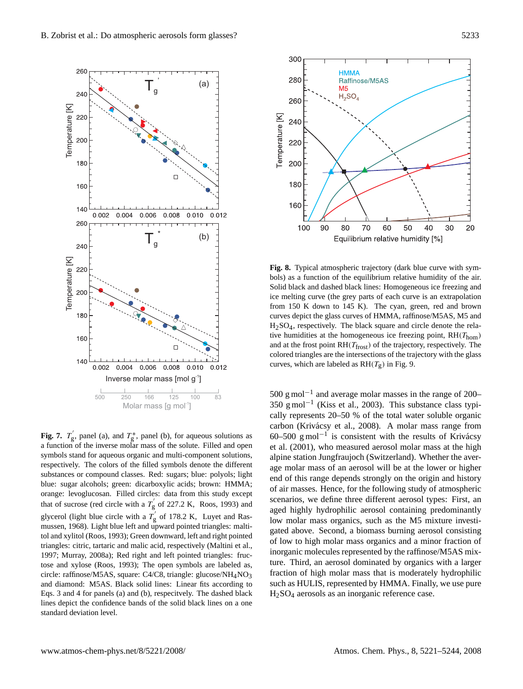

**Fig. 7.**  $T_g'$ , panel (a), and  $T_g^*$ , panel (b), for aqueous solutions as a function of the inverse molar mass of the solute. Filled and open symbols stand for aqueous organic and multi-component solutions, respectively. The colors of the filled symbols denote the different substances or compound classes. Red: sugars; blue: polyols; light blue: sugar alcohols; green: dicarboxylic acids; brown: HMMA; orange: levoglucosan. Filled circles: data from this study except that of sucrose (red circle with a  $T_g'$  of 227.2 K, Roos, 1993) and glycerol (light blue circle with a  $T_g'$  of 178.2 K, Luyet and Rasmussen, 1968). Light blue left and upward pointed triangles: maltitol and xylitol (Roos, 1993); Green downward, left and right pointed triangles: citric, tartaric and malic acid, respectively (Maltini et al., 1997; Murray, 2008a); Red right and left pointed triangles: fructose and xylose (Roos, 1993); The open symbols are labeled as, circle: raffinose/M5AS, square: C4/C8, triangle: glucose/NH4NO3 and diamond: M5AS. Black solid lines: Linear fits according to Eqs. 3 and 4 for panels (a) and (b), respecitvely. The dashed black lines depict the confidence bands of the solid black lines on a one standard deviation level.



**Fig. 8.** Typical atmospheric trajectory (dark blue curve with symbols) as a function of the equilibrium relative humidity of the air. Solid black and dashed black lines: Homogeneous ice freezing and ice melting curve (the grey parts of each curve is an extrapolation from 150 K down to 145 K). The cyan, green, red and brown curves depict the glass curves of HMMA, raffinose/M5AS, M5 and  $H<sub>2</sub>SO<sub>4</sub>$ , respectively. The black square and circle denote the relative humidities at the homogeneous ice freezing point,  $RH(T_{\text{hom}})$ and at the frost point  $RH(T_{\text{frost}})$  of the trajectory, respectively. The colored triangles are the intersections of the trajectory with the glass curves, which are labeled as  $RH(T_g)$  in Fig. 9.

500 g mol−<sup>1</sup> and average molar masses in the range of 200– 350 g mol−<sup>1</sup> (Kiss et al., 2003). This substance class typically represents 20–50 % of the total water soluble organic carbon (Krivácsy et al., 2008). A molar mass range from 60–500 g mol<sup>-1</sup> is consistent with the results of Krivácsy et al. (2001), who measured aerosol molar mass at the high alpine station Jungfraujoch (Switzerland). Whether the average molar mass of an aerosol will be at the lower or higher end of this range depends strongly on the origin and history of air masses. Hence, for the following study of atmospheric scenarios, we define three different aerosol types: First, an aged highly hydrophilic aerosol containing predominantly low molar mass organics, such as the M5 mixture investigated above. Second, a biomass burning aerosol consisting of low to high molar mass organics and a minor fraction of inorganic molecules represented by the raffinose/M5AS mixture. Third, an aerosol dominated by organics with a larger fraction of high molar mass that is moderately hydrophilic such as HULIS, represented by HMMA. Finally, we use pure H2SO<sup>4</sup> aerosols as an inorganic reference case.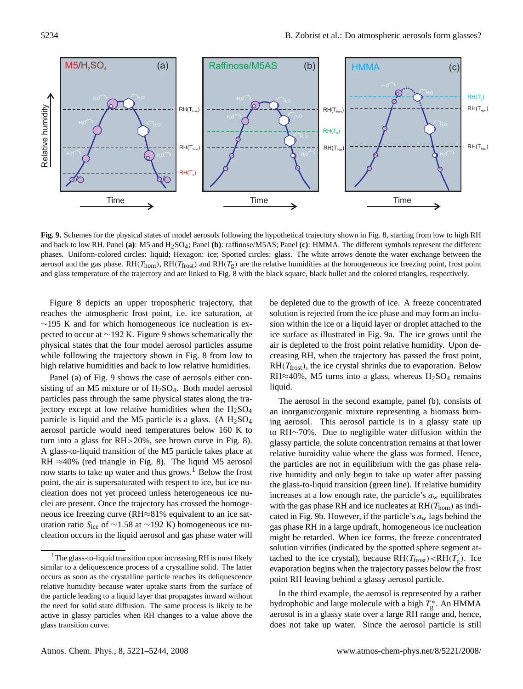

**Fig. 9.** Schemes for the physical states of model aerosols following the hypothetical trajectory shown in Fig. 8, starting from low to high RH and back to low RH. Panel (a): M5 and H<sub>2</sub>SO<sub>4</sub>; Panel (b): raffinose/M5AS; Panel (c): HMMA. The different symbols represent the different phases. Uniform-colored circles: liquid; Hexagon: ice; Spotted circles: glass. The white arrows denote the water exchange between the aerosol and the gas phase.  $RH(T_{\text{from}})$ ,  $RH(T_{\text{frost}})$  and  $RH(T_g)$  are the relative humidities at the homogeneous ice freezing point, frost point and glass temperature of the trajectory and are linked to Fig. 8 with the black square, black bullet and the colored triangles, respectively.

Figure 8 depicts an upper tropospheric trajectory, that reaches the atmospheric frost point, i.e. ice saturation, at ∼195 K and for which homogeneous ice nucleation is expected to occur at ∼192 K. Figure 9 shows schematically the physical states that the four model aerosol particles assume while following the trajectory shown in Fig. 8 from low to high relative humidities and back to low relative humidities.

Panel (a) of Fig. 9 shows the case of aerosols either consisting of an M5 mixture or of H2SO4. Both model aerosol particles pass through the same physical states along the trajectory except at low relative humidities when the  $H<sub>2</sub>SO<sub>4</sub>$ particle is liquid and the M5 particle is a glass. (A  $H_2SO_4$ aerosol particle would need temperatures below 160 K to turn into a glass for RH>20%, see brown curve in Fig. 8). A glass-to-liquid transition of the M5 particle takes place at RH  $\approx$ 40% (red triangle in Fig. 8). The liquid M5 aerosol now starts to take up water and thus grows.<sup>1</sup> Below the frost point, the air is supersaturated with respect to ice, but ice nucleation does not yet proceed unless heterogeneous ice nuclei are present. Once the trajectory has crossed the homogeneous ice freezing curve (RH≈81% equivalent to an ice saturation ratio S<sub>ice</sub> of ~1.58 at ~192 K) homogeneous ice nucleation occurs in the liquid aerosol and gas phase water will be depleted due to the growth of ice. A freeze concentrated solution is rejected from the ice phase and may form an inclusion within the ice or a liquid layer or droplet attached to the ice surface as illustrated in Fig. 9a. The ice grows until the air is depleted to the frost point relative humidity. Upon decreasing RH, when the trajectory has passed the frost point,  $RH(T_{\text{frost}})$ , the ice crystal shrinks due to evaporation. Below RH $\approx$ 40%, M5 turns into a glass, whereas H<sub>2</sub>SO<sub>4</sub> remains liquid.

The aerosol in the second example, panel (b), consists of an inorganic/organic mixture representing a biomass burning aerosol. This aerosol particle is in a glassy state up to RH∼70%. Due to negligible water diffusion within the glassy particle, the solute concentration remains at that lower relative humidity value where the glass was formed. Hence, the particles are not in equilibrium with the gas phase relative humidity and only begin to take up water after passing the glass-to-liquid transition (green line). If relative humidity increases at a low enough rate, the particle's  $a_w$  equilibrates with the gas phase RH and ice nucleates at  $RH(T_{\text{hom}})$  as indicated in Fig. 9b. However, if the particle's  $a_w$  lags behind the gas phase RH in a large updraft, homogeneous ice nucleation might be retarded. When ice forms, the freeze concentrated solution vitrifies (indicated by the spotted sphere segment attached to the ice crystal), because  $RH(T_{\text{frost}}) < RH(T_{g}')$ . Ice evaporation begins when the trajectory passes below the frost point RH leaving behind a glassy aerosol particle.

In the third example, the aerosol is represented by a rather hydrophobic and large molecule with a high  $T_g^*$ . An HMMA aerosol is in a glassy state over a large RH range and, hence, does not take up water. Since the aerosol particle is still

 $1$ The glass-to-liquid transition upon increasing RH is most likely similar to a deliquescence process of a crystalline solid. The latter occurs as soon as the crystalline particle reaches its deliquescence relative humidity because water uptake starts from the surface of the particle leading to a liquid layer that propagates inward without the need for solid state diffusion. The same process is likely to be active in glassy particles when RH changes to a value above the glass transition curve.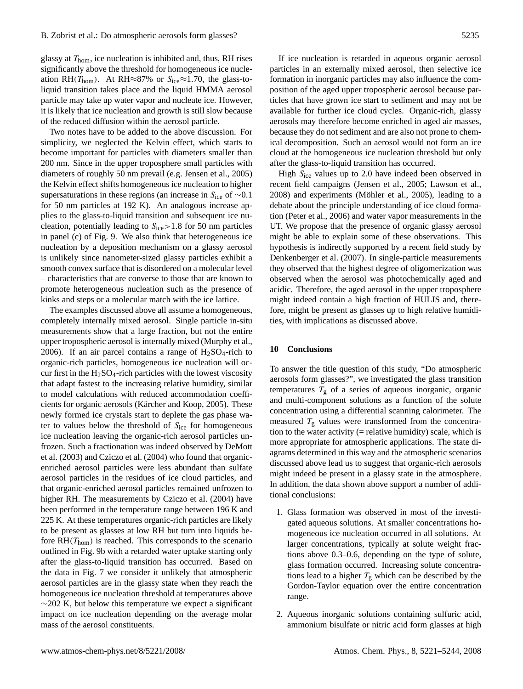glassy at  $T_{\text{hom}}$ , ice nucleation is inhibited and, thus, RH rises significantly above the threshold for homogeneous ice nucleation RH( $T_{\text{hom}}$ ). At RH≈87% or S<sub>ice</sub>≈1.70, the glass-toliquid transition takes place and the liquid HMMA aerosol particle may take up water vapor and nucleate ice. However, it is likely that ice nucleation and growth is still slow because of the reduced diffusion within the aerosol particle.

Two notes have to be added to the above discussion. For simplicity, we neglected the Kelvin effect, which starts to become important for particles with diameters smaller than 200 nm. Since in the upper troposphere small particles with diameters of roughly 50 nm prevail (e.g. Jensen et al., 2005) the Kelvin effect shifts homogeneous ice nucleation to higher supersaturations in these regions (an increase in  $S<sub>ice</sub>$  of ∼0.1 for 50 nm particles at 192 K). An analogous increase applies to the glass-to-liquid transition and subsequent ice nucleation, potentially leading to  $S<sub>ice</sub> > 1.8$  for 50 nm particles in panel (c) of Fig. 9. We also think that heterogeneous ice nucleation by a deposition mechanism on a glassy aerosol is unlikely since nanometer-sized glassy particles exhibit a smooth convex surface that is disordered on a molecular level – characteristics that are converse to those that are known to promote heterogeneous nucleation such as the presence of kinks and steps or a molecular match with the ice lattice.

The examples discussed above all assume a homogeneous, completely internally mixed aerosol. Single particle in-situ measurements show that a large fraction, but not the entire upper tropospheric aerosol is internally mixed (Murphy et al., 2006). If an air parcel contains a range of  $H_2SO_4$ -rich to organic-rich particles, homogeneous ice nucleation will occur first in the  $H<sub>2</sub>SO<sub>4</sub>$ -rich particles with the lowest viscosity that adapt fastest to the increasing relative humidity, similar to model calculations with reduced accommodation coefficients for organic aerosols (Kärcher and Koop, 2005). These newly formed ice crystals start to deplete the gas phase water to values below the threshold of  $S<sub>ice</sub>$  for homogeneous ice nucleation leaving the organic-rich aerosol particles unfrozen. Such a fractionation was indeed observed by DeMott et al. (2003) and Cziczo et al. (2004) who found that organicenriched aerosol particles were less abundant than sulfate aerosol particles in the residues of ice cloud particles, and that organic-enriched aerosol particles remained unfrozen to higher RH. The measurements by Cziczo et al. (2004) have been performed in the temperature range between 196 K and 225 K. At these temperatures organic-rich particles are likely to be present as glasses at low RH but turn into liquids before  $RH(T_{\text{hom}})$  is reached. This corresponds to the scenario outlined in Fig. 9b with a retarded water uptake starting only after the glass-to-liquid transition has occurred. Based on the data in Fig. 7 we consider it unlikely that atmospheric aerosol particles are in the glassy state when they reach the homogeneous ice nucleation threshold at temperatures above  $\sim$ 202 K, but below this temperature we expect a significant impact on ice nucleation depending on the average molar mass of the aerosol constituents.

If ice nucleation is retarded in aqueous organic aerosol particles in an externally mixed aerosol, then selective ice formation in inorganic particles may also influence the composition of the aged upper tropospheric aerosol because particles that have grown ice start to sediment and may not be available for further ice cloud cycles. Organic-rich, glassy aerosols may therefore become enriched in aged air masses, because they do not sediment and are also not prone to chemical decomposition. Such an aerosol would not form an ice cloud at the homogeneous ice nucleation threshold but only after the glass-to-liquid transition has occurred.

High  $S<sub>ice</sub>$  values up to 2.0 have indeed been observed in recent field campaigns (Jensen et al., 2005; Lawson et al.,  $2008$ ) and experiments (Möhler et al.,  $2005$ ), leading to a debate about the principle understanding of ice cloud formation (Peter et al., 2006) and water vapor measurements in the UT. We propose that the presence of organic glassy aerosol might be able to explain some of these observations. This hypothesis is indirectly supported by a recent field study by Denkenberger et al. (2007). In single-particle measurements they observed that the highest degree of oligomerization was observed when the aerosol was photochemically aged and acidic. Therefore, the aged aerosol in the upper troposphere might indeed contain a high fraction of HULIS and, therefore, might be present as glasses up to high relative humidities, with implications as discussed above.

### **10 Conclusions**

To answer the title question of this study, "Do atmospheric aerosols form glasses?", we investigated the glass transition temperatures  $T<sub>g</sub>$  of a series of aqueous inorganic, organic and multi-component solutions as a function of the solute concentration using a differential scanning calorimeter. The measured  $T_g$  values were transformed from the concentration to the water activity  $(=$  relative humidity) scale, which is more appropriate for atmospheric applications. The state diagrams determined in this way and the atmospheric scenarios discussed above lead us to suggest that organic-rich aerosols might indeed be present in a glassy state in the atmosphere. In addition, the data shown above support a number of additional conclusions:

- 1. Glass formation was observed in most of the investigated aqueous solutions. At smaller concentrations homogeneous ice nucleation occurred in all solutions. At larger concentrations, typically at solute weight fractions above 0.3–0.6, depending on the type of solute, glass formation occurred. Increasing solute concentrations lead to a higher  $T_g$  which can be described by the Gordon-Taylor equation over the entire concentration range.
- 2. Aqueous inorganic solutions containing sulfuric acid, ammonium bisulfate or nitric acid form glasses at high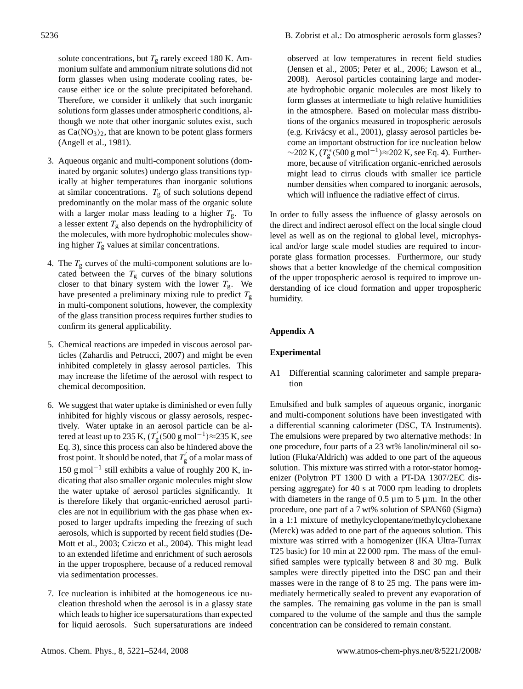solute concentrations, but  $T<sub>g</sub>$  rarely exceed 180 K. Ammonium sulfate and ammonium nitrate solutions did not form glasses when using moderate cooling rates, because either ice or the solute precipitated beforehand. Therefore, we consider it unlikely that such inorganic solutions form glasses under atmospheric conditions, although we note that other inorganic solutes exist, such as  $Ca(NO<sub>3</sub>)<sub>2</sub>$ , that are known to be potent glass formers (Angell et al., 1981).

- 3. Aqueous organic and multi-component solutions (dominated by organic solutes) undergo glass transitions typically at higher temperatures than inorganic solutions at similar concentrations.  $T_g$  of such solutions depend predominantly on the molar mass of the organic solute with a larger molar mass leading to a higher  $T_{\rm g}$ . To a lesser extent  $T_g$  also depends on the hydrophilicity of the molecules, with more hydrophobic molecules showing higher  $T_g$  values at similar concentrations.
- 4. The  $T_g$  curves of the multi-component solutions are located between the  $T<sub>g</sub>$  curves of the binary solutions closer to that binary system with the lower  $T_{\rm g}$ . We have presented a preliminary mixing rule to predict  $T_{\rm g}$ in multi-component solutions, however, the complexity of the glass transition process requires further studies to confirm its general applicability.
- 5. Chemical reactions are impeded in viscous aerosol particles (Zahardis and Petrucci, 2007) and might be even inhibited completely in glassy aerosol particles. This may increase the lifetime of the aerosol with respect to chemical decomposition.
- 6. We suggest that water uptake is diminished or even fully inhibited for highly viscous or glassy aerosols, respectively. Water uptake in an aerosol particle can be altered at least up to 235 K,  $(T_p)$  $g'_{\rm g}$ (500 g mol<sup>-1</sup>)≈235 K, see Eq. 3), since this process can also be hindered above the frost point. It should be noted, that  $T_g$  $\int_{g}$  of a molar mass of 150 g mol−<sup>1</sup> still exhibits a value of roughly 200 K, indicating that also smaller organic molecules might slow the water uptake of aerosol particles significantly. It is therefore likely that organic-enriched aerosol particles are not in equilibrium with the gas phase when exposed to larger updrafts impeding the freezing of such aerosols, which is supported by recent field studies (De-Mott et al., 2003; Cziczo et al., 2004). This might lead to an extended lifetime and enrichment of such aerosols in the upper troposphere, because of a reduced removal via sedimentation processes.
- 7. Ice nucleation is inhibited at the homogeneous ice nucleation threshold when the aerosol is in a glassy state which leads to higher ice supersaturations than expected for liquid aerosols. Such supersaturations are indeed

observed at low temperatures in recent field studies (Jensen et al., 2005; Peter et al., 2006; Lawson et al., 2008). Aerosol particles containing large and moderate hydrophobic organic molecules are most likely to form glasses at intermediate to high relative humidities in the atmosphere. Based on molecular mass distributions of the organics measured in tropospheric aerosols (e.g. Krivacsy et al., 2001), glassy aerosol particles be- ´ come an important obstruction for ice nucleation below  $\sim$ 202 K, ( $T_g^*(500 \text{ g mol}^{-1}) \approx$ 202 K, see Eq. 4). Furthermore, because of vitrification organic-enriched aerosols might lead to cirrus clouds with smaller ice particle number densities when compared to inorganic aerosols, which will influence the radiative effect of cirrus.

In order to fully assess the influence of glassy aerosols on the direct and indirect aerosol effect on the local single cloud level as well as on the regional to global level, microphysical and/or large scale model studies are required to incorporate glass formation processes. Furthermore, our study shows that a better knowledge of the chemical composition of the upper tropospheric aerosol is required to improve understanding of ice cloud formation and upper tropospheric humidity.

# **Appendix A**

### **Experimental**

A1 Differential scanning calorimeter and sample preparation

Emulsified and bulk samples of aqueous organic, inorganic and multi-component solutions have been investigated with a differential scanning calorimeter (DSC, TA Instruments). The emulsions were prepared by two alternative methods: In one procedure, four parts of a 23 wt% lanolin/mineral oil solution (Fluka/Aldrich) was added to one part of the aqueous solution. This mixture was stirred with a rotor-stator homogenizer (Polytron PT 1300 D with a PT-DA 1307/2EC dispersing aggregate) for 40 s at 7000 rpm leading to droplets with diameters in the range of  $0.5 \mu$ m to  $5 \mu$ m. In the other procedure, one part of a 7 wt% solution of SPAN60 (Sigma) in a 1:1 mixture of methylcyclopentane/methylcyclohexane (Merck) was added to one part of the aqueous solution. This mixture was stirred with a homogenizer (IKA Ultra-Turrax T25 basic) for 10 min at 22 000 rpm. The mass of the emulsified samples were typically between 8 and 30 mg. Bulk samples were directly pipetted into the DSC pan and their masses were in the range of 8 to 25 mg. The pans were immediately hermetically sealed to prevent any evaporation of the samples. The remaining gas volume in the pan is small compared to the volume of the sample and thus the sample concentration can be considered to remain constant.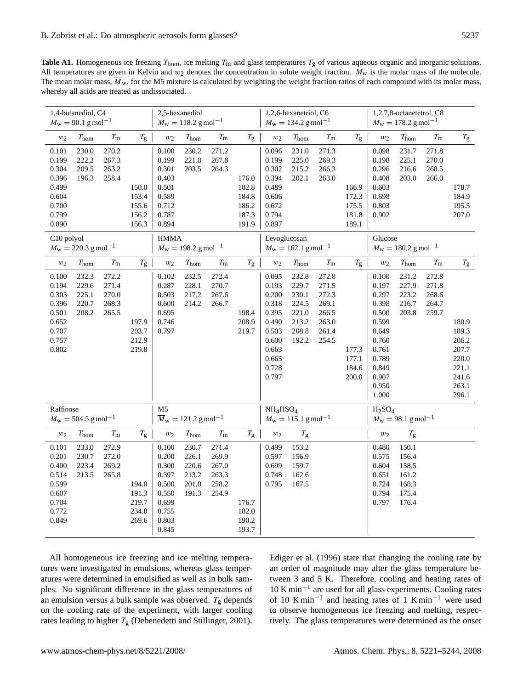**Table A1.** Homogeneous ice freezing  $T_{\text{hom}}$ , ice melting  $T_{\text{m}}$  and glass temperatures  $T_{\text{g}}$  of various aqueous organic and inorganic solutions. All temperatures are given in Kelvin and  $w_2$  denotes the concentration in solute weight fraction.  $M_w$  is the molar mass of the molecule. The mean molar mass,  $\overline{M}_{w}$ , for the M5 mixture is calculated by weighting the weight fraction ratios of each compound with its molar mass, whereby all acids are treated as undissociated.

| 1,4-butanediol, C4<br>$M_{\rm w} = 90.1$ g mol <sup>-1</sup>                  |                                           | 2,5-hexanediol<br>$M_{\rm w} = 118.2$ g mol <sup>-1</sup> |                                                                               |                                                                                        | 1,2,6-hexanetriol, C6<br>$M_{\rm w} = 134.2$ g mol <sup>-1</sup> |                                                                             |                                                    | 1,2,7,8-octanetetrol, C8<br>$M_{\rm w} = 178.2$ g mol <sup>-1</sup>                                      |                                                                      |                                                                      |                                           |                                                                                                                            |                                                             |                                           |                                                                               |
|-------------------------------------------------------------------------------|-------------------------------------------|-----------------------------------------------------------|-------------------------------------------------------------------------------|----------------------------------------------------------------------------------------|------------------------------------------------------------------|-----------------------------------------------------------------------------|----------------------------------------------------|----------------------------------------------------------------------------------------------------------|----------------------------------------------------------------------|----------------------------------------------------------------------|-------------------------------------------|----------------------------------------------------------------------------------------------------------------------------|-------------------------------------------------------------|-------------------------------------------|-------------------------------------------------------------------------------|
| $w_2$                                                                         | $T_{\text{hom}}$                          | $T_{\rm m}$                                               | $T_{\rm g}$                                                                   | $w_2$                                                                                  | $T_{\text{hom}}$                                                 | $T_{\rm m}$                                                                 | $T_{\rm g}$                                        | $w_2$                                                                                                    | $T_{\text{hom}}$                                                     | $T_{\rm m}$                                                          | $T_{\rm g}$                               | $w_2$                                                                                                                      | $T_{\rm hom}$                                               | $T_{\rm m}$                               | $T_{\rm g}$                                                                   |
| 0.101<br>0.199<br>0.304<br>0.396<br>0.499<br>0.604<br>0.700<br>0.799<br>0.890 | 230.0<br>222.2<br>209.5<br>196.3          | 270.2<br>267.3<br>263.2<br>258.4                          | 150.0<br>153.4<br>155.6<br>156.2<br>156.3                                     | 0.100<br>0.199<br>0.301<br>0.403<br>0.501<br>0.589<br>0.712<br>0.787<br>0.894          | 230.2<br>221.8<br>203.5                                          | 271.2<br>267.8<br>264.3                                                     | 176.0<br>182.8<br>184.8<br>186.2<br>187.3<br>191.9 | 0.096<br>0.199<br>0.302<br>0.394<br>0.489<br>0.606<br>0.672<br>0.794<br>0.897                            | 231.0<br>225.0<br>215.2<br>202.1                                     | 271.3<br>269.3<br>266.3<br>263.0                                     | 166.9<br>172.3<br>175.5<br>181.8<br>189.1 | 0.098<br>0.198<br>0.296<br>0.408<br>0.603<br>0.698<br>0.803<br>0.902                                                       | 231.7<br>225.1<br>216.6<br>203.0                            | 271.8<br>270.0<br>268.5<br>266.0          | 178.7<br>184.9<br>195.5<br>207.0                                              |
| C10 polyol<br>$M_{\rm w} = 220.3$ g mol <sup>-1</sup>                         |                                           |                                                           | <b>HMMA</b><br>$M_{\rm w} = 198.2$ g mol <sup>-1</sup>                        |                                                                                        |                                                                  | Levoglucosan<br>$M_{\rm w} = 162.1$ g mol <sup>-1</sup>                     |                                                    |                                                                                                          | Glucose<br>$M_{\rm w} = 180.2$ g mol <sup>-1</sup>                   |                                                                      |                                           |                                                                                                                            |                                                             |                                           |                                                                               |
| $w_2$                                                                         | $T_{\rm hom}$                             | $T_{\rm m}$                                               | $T_{\rm g}$                                                                   | $w_2$                                                                                  | $T_{\rm hom}$                                                    | $T_{\rm m}$                                                                 | $T_{\rm g}$                                        | $w_2$                                                                                                    | $T_{\rm hom}$                                                        | $T_{\rm m}$                                                          | $T_{\rm g}$                               | $w_2$                                                                                                                      | $T_{\rm hom}$                                               | $T_{\rm m}$                               | $T_{\rm g}$                                                                   |
| 0.100<br>0.194<br>0.303<br>0.396<br>0.501<br>0.652<br>0.707<br>0.757<br>0.802 | 232.3<br>229.6<br>225.1<br>220.7<br>208.2 | 272.2<br>271.4<br>270.0<br>268.3<br>265.5                 | 197.9<br>203.7<br>212.9<br>219.8                                              | 0.102<br>0.287<br>0.503<br>0.600<br>0.695<br>0.746<br>0.797                            | 232.5<br>228.1<br>217.2<br>214.2                                 | 272.4<br>270.7<br>267.6<br>266.7                                            | 198.4<br>208.9<br>219.7                            | 0.095<br>0.193<br>0.200<br>0.318<br>0.395<br>0.490<br>0.503<br>0.600<br>0.663<br>0.665<br>0.728<br>0.797 | 232.8<br>229.7<br>230.1<br>224.5<br>221.0<br>213.2<br>208.8<br>192.2 | 272.8<br>271.5<br>272.3<br>269.1<br>266.5<br>263.0<br>261.4<br>254.5 | 177.3<br>177.1<br>184.6<br>200.0          | 0.100<br>0.197<br>0.297<br>0.398<br>0.500<br>0.599<br>0.649<br>0.760<br>0.761<br>0.789<br>0.849<br>0.907<br>0.950<br>1.000 | 231.2<br>227.9<br>223.2<br>216.7<br>203.8                   | 272.8<br>271.8<br>268.6<br>264.7<br>259.7 | 180.9<br>189.3<br>206.2<br>207.7<br>220.0<br>221.1<br>241.6<br>263.1<br>296.1 |
| Raffinose<br>$M_{\rm w} = 504.5$ g mol <sup>-1</sup>                          |                                           |                                                           | M <sub>5</sub><br>$\overline{M}_{\text{w}} = 121.2 \text{ g} \text{mol}^{-1}$ |                                                                                        |                                                                  | NH <sub>4</sub> HSO <sub>4</sub><br>$M_{\rm w} = 115.1$ g mol <sup>-1</sup> |                                                    |                                                                                                          | $H_2SO_4$<br>$M_{\rm w} = 98.1$ g mol <sup>-1</sup>                  |                                                                      |                                           |                                                                                                                            |                                                             |                                           |                                                                               |
| $w_2$                                                                         | T <sub>hom</sub>                          | $T_{\rm m}$                                               | $T_{\rm g}$                                                                   | $w_2$                                                                                  | $T_{\rm hom}$                                                    | $T_{\rm m}$                                                                 | $T_{\rm g}$                                        | $w_2$                                                                                                    | $T_{\rm g}$                                                          |                                                                      |                                           | $w_2$                                                                                                                      | $T_{\rm g}$                                                 |                                           |                                                                               |
| 0.101<br>0.201<br>0.400<br>0.514<br>0.599<br>0.607<br>0.704<br>0.772<br>0.849 | 233.0<br>230.7<br>223.4<br>213.5          | 272.9<br>272.0<br>269.2<br>265.8                          | 194.0<br>191.3<br>219.7<br>234.8<br>269.6                                     | 0.100<br>0.200<br>0.300<br>0.397<br>0.500<br>0.550<br>0.699<br>0.755<br>0.803<br>0.845 | 230.7<br>226.1<br>220.6<br>213.2<br>201.0<br>191.3               | 271.4<br>269.9<br>267.0<br>263.3<br>258.2<br>254.9                          | 176.7<br>182.0<br>190.2<br>193.7                   | 0.499<br>0.597<br>0.699<br>0.748<br>0.795                                                                | 153.2<br>156.9<br>159.7<br>162.6<br>167.5                            |                                                                      |                                           | 0.480<br>0.575<br>0.604<br>0.651<br>0.724<br>0.794<br>0.797                                                                | 150.1<br>156.4<br>158.5<br>161.2<br>168.3<br>175.4<br>176.4 |                                           |                                                                               |

All homogeneous ice freezing and ice melting temperatures were investigated in emulsions, whereas glass temperatures were determined in emulsified as well as in bulk samples. No significant difference in the glass temperatures of an emulsion versus a bulk sample was observed.  $T_g$  depends on the cooling rate of the experiment, with larger cooling rates leading to higher  $T_g$  (Debenedetti and Stillinger, 2001).

Ediger et al. (1996) state that changing the cooling rate by an order of magnitude may alter the glass temperature between 3 and 5 K. Therefore, cooling and heating rates of 10 K min−<sup>1</sup> are used for all glass experiments. Cooling rates of 10 K min−<sup>1</sup> and heating rates of 1 K min−<sup>1</sup> were used to observe homogeneous ice freezing and melting, respectively. The glass temperatures were determined as the onset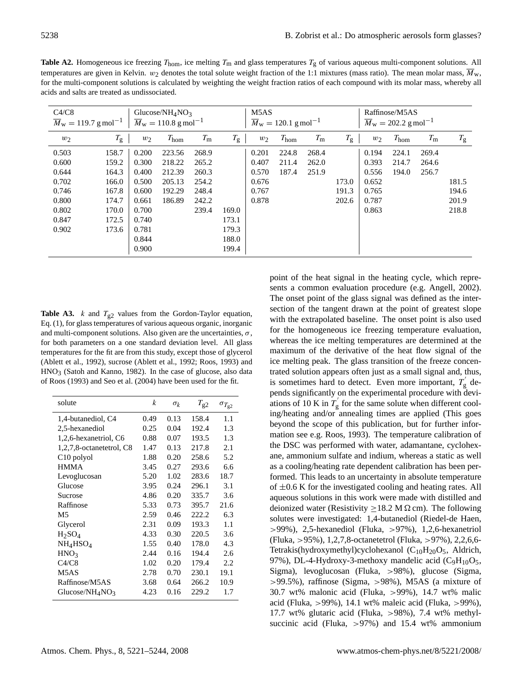**Table A2.** Homogeneous ice freezing  $T_{\text{hom}}$ , ice melting  $T_{\text{m}}$  and glass temperatures  $T_{\text{g}}$  of various aqueous multi-component solutions. All temperatures are given in Kelvin.  $w_2$  denotes the total solute weight fraction of the 1:1 mixtures (mass ratio). The mean molar mass,  $M_w$ , for the multi-component solutions is calculated by weighting the weight fraction ratios of each compound with its molar mass, whereby all acids and salts are treated as undissociated.

| C4/C8<br>Glucose/NH <sub>4</sub> NO <sub>3</sub><br>$\overline{M}_{\text{w}} = 110.8 \text{ g} \text{ mol}^{-1}$<br>$\overline{M}_{\rm w} = 119.7$ g mol <sup>-1</sup> |             |       |                  |             | M <sub>5</sub> A <sub>S</sub><br>$\overline{M}_{\text{w}} = 120.1 \text{ g mol}^{-1}$ |       |                  |             | Raffinose/M5AS<br>$\overline{M}_{\rm w} = 202.2$ g mol <sup>-1</sup> |       |                  |             |             |
|------------------------------------------------------------------------------------------------------------------------------------------------------------------------|-------------|-------|------------------|-------------|---------------------------------------------------------------------------------------|-------|------------------|-------------|----------------------------------------------------------------------|-------|------------------|-------------|-------------|
| $w_2$                                                                                                                                                                  | $T_{\rm g}$ | $w_2$ | $T_{\text{hom}}$ | $T_{\rm m}$ | $T_{\rm g}$                                                                           | $w_2$ | $T_{\text{hom}}$ | $T_{\rm m}$ | $T_{\rm g}$                                                          | $w_2$ | $T_{\text{hom}}$ | $T_{\rm m}$ | $T_{\rm g}$ |
| 0.503                                                                                                                                                                  | 158.7       | 0.200 | 223.56           | 268.9       |                                                                                       | 0.201 | 224.8            | 268.4       |                                                                      | 0.194 | 224.1            | 269.4       |             |
| 0.600                                                                                                                                                                  | 159.2       | 0.300 | 218.22           | 265.2       |                                                                                       | 0.407 | 211.4            | 262.0       |                                                                      | 0.393 | 214.7            | 264.6       |             |
| 0.644                                                                                                                                                                  | 164.3       | 0.400 | 212.39           | 260.3       |                                                                                       | 0.570 | 187.4            | 251.9       |                                                                      | 0.556 | 194.0            | 256.7       |             |
| 0.702                                                                                                                                                                  | 166.0       | 0.500 | 205.13           | 254.2       |                                                                                       | 0.676 |                  |             | 173.0                                                                | 0.652 |                  |             | 181.5       |
| 0.746                                                                                                                                                                  | 167.8       | 0.600 | 192.29           | 248.4       |                                                                                       | 0.767 |                  |             | 191.3                                                                | 0.765 |                  |             | 194.6       |
| 0.800                                                                                                                                                                  | 174.7       | 0.661 | 186.89           | 242.2       |                                                                                       | 0.878 |                  |             | 202.6                                                                | 0.787 |                  |             | 201.9       |
| 0.802                                                                                                                                                                  | 170.0       | 0.700 |                  | 239.4       | 169.0                                                                                 |       |                  |             |                                                                      | 0.863 |                  |             | 218.8       |
| 0.847                                                                                                                                                                  | 172.5       | 0.740 |                  |             | 173.1                                                                                 |       |                  |             |                                                                      |       |                  |             |             |
| 0.902                                                                                                                                                                  | 173.6       | 0.781 |                  |             | 179.3                                                                                 |       |                  |             |                                                                      |       |                  |             |             |
|                                                                                                                                                                        |             | 0.844 |                  |             | 188.0                                                                                 |       |                  |             |                                                                      |       |                  |             |             |
|                                                                                                                                                                        |             | 0.900 |                  |             | 199.4                                                                                 |       |                  |             |                                                                      |       |                  |             |             |

**Table A3.** k and  $T_{g2}$  values from the Gordon-Taylor equation, Eq. (1), for glass temperatures of various aqueous organic, inorganic and multi-component solutions. Also given are the uncertainties,  $\sigma$ , for both parameters on a one standard deviation level. All glass temperatures for the fit are from this study, except those of glycerol (Ablett et al., 1992), sucrose (Ablett et al., 1992; Roos, 1993) and  $HNO<sub>3</sub>$  (Satoh and Kanno, 1982). In the case of glucose, also data of Roos (1993) and Seo et al. (2004) have been used for the fit.

| solute                        | k    | $\sigma_k$ | $T_{g2}$ | $\sigma_{T_{\rm g2}}$ |
|-------------------------------|------|------------|----------|-----------------------|
| 1,4-butanediol, C4            | 0.49 | 0.13       | 158.4    | 1.1                   |
| 2,5-hexanediol                | 0.25 | 0.04       | 192.4    | 1.3                   |
| 1,2,6-hexanetriol, C6         | 0.88 | 0.07       | 193.5    | 1.3                   |
| 1,2,7,8-octanetetrol, C8      | 1.47 | 0.13       | 217.8    | 2.1                   |
| C <sub>10</sub> polyol        | 1.88 | 0.20       | 258.6    | 5.2                   |
| <b>HMMA</b>                   | 3.45 | 0.27       | 293.6    | 6.6                   |
| Levoglucosan                  | 5.20 | 1.02       | 283.6    | 18.7                  |
| Glucose                       | 3.95 | 0.24       | 296.1    | 3.1                   |
| Sucrose                       | 4.86 | 0.20       | 335.7    | 3.6                   |
| Raffinose                     | 5.33 | 0.73       | 395.7    | 21.6                  |
| M5                            | 2.59 | 0.46       | 222.2    | 6.3                   |
| Glycerol                      | 2.31 | 0.09       | 193.3    | 1.1                   |
| $H_2SO_4$                     | 4.33 | 0.30       | 220.5    | 3.6                   |
| $NH_4HSO_4$                   | 1.55 | 0.40       | 178.0    | 4.3                   |
| HNO <sub>3</sub>              | 2.44 | 0.16       | 194.4    | 2.6                   |
| C4/C8                         | 1.02 | 0.20       | 179.4    | 2.2                   |
| M <sub>5</sub> A <sub>S</sub> | 2.78 | 0.70       | 230.1    | 19.1                  |
| Raffinose/M5AS                | 3.68 | 0.64       | 266.2    | 10.9                  |
| Glucose/ $NH_4NO_3$           | 4.23 | 0.16       | 229.2    | 1.7                   |

point of the heat signal in the heating cycle, which represents a common evaluation procedure (e.g. Angell, 2002). The onset point of the glass signal was defined as the intersection of the tangent drawn at the point of greatest slope with the extrapolated baseline. The onset point is also used for the homogeneous ice freezing temperature evaluation, whereas the ice melting temperatures are determined at the maximum of the derivative of the heat flow signal of the ice melting peak. The glass transition of the freeze concentrated solution appears often just as a small signal and, thus, is sometimes hard to detect. Even more important,  $T_{\text{g}}$  $\int_{g}^{\prime}$  depends significantly on the experimental procedure with deviations of 10 K in  $T_9$  $\frac{1}{g}$  for the same solute when different cooling/heating and/or annealing times are applied (This goes beyond the scope of this publication, but for further information see e.g. Roos, 1993). The temperature calibration of the DSC was performed with water, adamantane, cyclohexane, ammonium sulfate and indium, whereas a static as well as a cooling/heating rate dependent calibration has been performed. This leads to an uncertainty in absolute temperature of  $\pm 0.6$  K for the investigated cooling and heating rates. All aqueous solutions in this work were made with distilled and deionized water (Resistivity  $\geq$  18.2 M  $\Omega$  cm). The following solutes were investigated: 1,4-butanediol (Riedel-de Haen, >99%), 2,5-hexanediol (Fluka, >97%), 1,2,6-hexanetriol (Fluka, >95%), 1,2,7,8-octanetetrol (Fluka, >97%), 2,2,6,6- Tetrakis(hydroxymethyl)cyclohexanol  $(C_{10}H_{20}O_5,$  Aldrich, 97%), DL-4-Hydroxy-3-methoxy mandelic acid  $(C_9H_{10}O_5,$ Sigma), levoglucosan (Fluka, >98%), glucose (Sigma, >99.5%), raffinose (Sigma, >98%), M5AS (a mixture of 30.7 wt% malonic acid (Fluka, >99%), 14.7 wt% malic acid (Fluka, >99%), 14.1 wt% maleic acid (Fluka, >99%), 17.7 wt% glutaric acid (Fluka, >98%), 7.4 wt% methylsuccinic acid (Fluka, >97%) and 15.4 wt% ammonium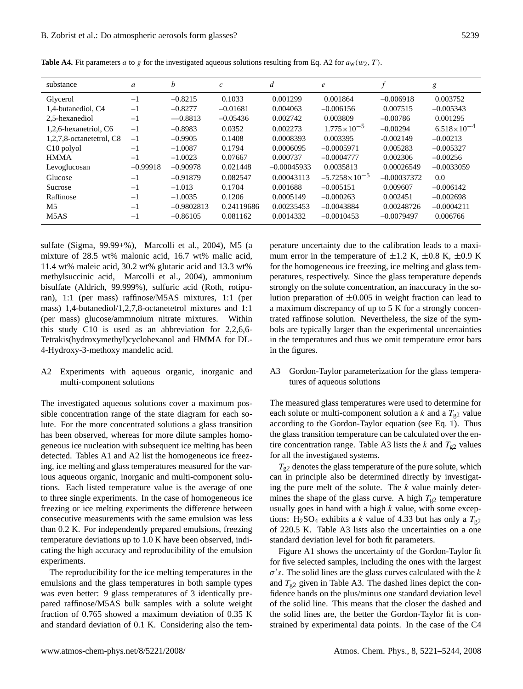| substance                     | $\mathfrak a$ | b            | $\mathcal{C}$ | d             | $\epsilon$             | $\mathcal{L}$ | g                    |
|-------------------------------|---------------|--------------|---------------|---------------|------------------------|---------------|----------------------|
| Glycerol                      | $-1$          | $-0.8215$    | 0.1033        | 0.001299      | 0.001864               | $-0.006918$   | 0.003752             |
| 1,4-butanediol, C4            | $-1$          | $-0.8277$    | $-0.01681$    | 0.004063      | $-0.006156$            | 0.007515      | $-0.005343$          |
| 2,5-hexanediol                | $-1$          | $-0.8813$    | $-0.05436$    | 0.002742      | 0.003809               | $-0.00786$    | 0.001295             |
| 1,2,6-hexanetriol, C6         | $-1$          | $-0.8983$    | 0.0352        | 0.002273      | $1.775 \times 10^{-5}$ | $-0.00294$    | $6.518\times10^{-4}$ |
| 1,2,7,8-octanetetrol, C8      | $-1$          | $-0.9905$    | 0.1408        | 0.0008393     | 0.003395               | $-0.002149$   | $-0.00213$           |
| C <sub>10</sub> polyol        | $-1$          | $-1.0087$    | 0.1794        | 0.0006095     | $-0.0005971$           | 0.005283      | $-0.005327$          |
| <b>HMMA</b>                   | $-1$          | $-1.0023$    | 0.07667       | 0.000737      | $-0.0004777$           | 0.002306      | $-0.00256$           |
| Levoglucosan                  | $-0.99918$    | $-0.90978$   | 0.021448      | $-0.00045933$ | 0.0035813              | 0.00026549    | $-0.0033059$         |
| Glucose                       | $-1$          | $-0.91879$   | 0.082547      | 0.00043113    | $-5.7258\times10^{-5}$ | $-0.00037372$ | 0.0                  |
| Sucrose                       | $-1$          | $-1.013$     | 0.1704        | 0.001688      | $-0.005151$            | 0.009607      | $-0.006142$          |
| Raffinose                     | $-1$          | $-1.0035$    | 0.1206        | 0.0005149     | $-0.000263$            | 0.002451      | $-0.002698$          |
| M <sub>5</sub>                | $-1$          | $-0.9802813$ | 0.24119686    | 0.00235453    | $-0.0043884$           | 0.00248726    | $-0.0004211$         |
| M <sub>5</sub> A <sub>S</sub> | $-1$          | $-0.86105$   | 0.081162      | 0.0014332     | $-0.0010453$           | $-0.0079497$  | 0.006766             |

**Table A4.** Fit parameters a to g for the investigated aqueous solutions resulting from Eq. A2 for  $a_w(w_2, T)$ .

sulfate (Sigma, 99.99+%), Marcolli et al., 2004), M5 (a mixture of 28.5 wt% malonic acid, 16.7 wt% malic acid, 11.4 wt% maleic acid, 30.2 wt% glutaric acid and 13.3 wt% methylsuccinic acid, Marcolli et al., 2004), ammonium bisulfate (Aldrich, 99.999%), sulfuric acid (Roth, rotipuran), 1:1 (per mass) raffinose/M5AS mixtures, 1:1 (per mass) 1,4-butanediol/1,2,7,8-octanetetrol mixtures and 1:1 (per mass) glucose/ammnoium nitrate mixtures. Within this study C10 is used as an abbreviation for 2,2,6,6- Tetrakis(hydroxymethyl)cyclohexanol and HMMA for DL-4-Hydroxy-3-methoxy mandelic acid.

A2 Experiments with aqueous organic, inorganic and multi-component solutions

The investigated aqueous solutions cover a maximum possible concentration range of the state diagram for each solute. For the more concentrated solutions a glass transition has been observed, whereas for more dilute samples homogeneous ice nucleation with subsequent ice melting has been detected. Tables A1 and A2 list the homogeneous ice freezing, ice melting and glass temperatures measured for the various aqueous organic, inorganic and multi-component solutions. Each listed temperature value is the average of one to three single experiments. In the case of homogeneous ice freezing or ice melting experiments the difference between consecutive measurements with the same emulsion was less than 0.2 K. For independently prepared emulsions, freezing temperature deviations up to 1.0 K have been observed, indicating the high accuracy and reproducibility of the emulsion experiments.

The reproducibility for the ice melting temperatures in the emulsions and the glass temperatures in both sample types was even better: 9 glass temperatures of 3 identically prepared raffinose/M5AS bulk samples with a solute weight fraction of 0.765 showed a maximum deviation of 0.35 K and standard deviation of 0.1 K. Considering also the temperature uncertainty due to the calibration leads to a maximum error in the temperature of  $\pm 1.2$  K,  $\pm 0.8$  K,  $\pm 0.9$  K for the homogeneous ice freezing, ice melting and glass temperatures, respectively. Since the glass temperature depends strongly on the solute concentration, an inaccuracy in the solution preparation of  $\pm 0.005$  in weight fraction can lead to a maximum discrepancy of up to 5 K for a strongly concentrated raffinose solution. Nevertheless, the size of the symbols are typically larger than the experimental uncertainties in the temperatures and thus we omit temperature error bars in the figures.

## A3 Gordon-Taylor parameterization for the glass temperatures of aqueous solutions

The measured glass temperatures were used to determine for each solute or multi-component solution a k and a  $T_{g2}$  value according to the Gordon-Taylor equation (see Eq. 1). Thus the glass transition temperature can be calculated over the entire concentration range. Table A3 lists the k and  $T_{g2}$  values for all the investigated systems.

 $T_{g2}$  denotes the glass temperature of the pure solute, which can in principle also be determined directly by investigating the pure melt of the solute. The  $k$  value mainly determines the shape of the glass curve. A high  $T_{g2}$  temperature usually goes in hand with a high  $k$  value, with some exceptions: H<sub>2</sub>SO<sub>4</sub> exhibits a k value of 4.33 but has only a  $T_{\text{g2}}$ of 220.5 K. Table A3 lists also the uncertainties on a one standard deviation level for both fit parameters.

Figure A1 shows the uncertainty of the Gordon-Taylor fit for five selected samples, including the ones with the largest  $\sigma$ 's. The solid lines are the glass curves calculated with the k and  $T_{g2}$  given in Table A3. The dashed lines depict the confidence bands on the plus/minus one standard deviation level of the solid line. This means that the closer the dashed and the solid lines are, the better the Gordon-Taylor fit is constrained by experimental data points. In the case of the C4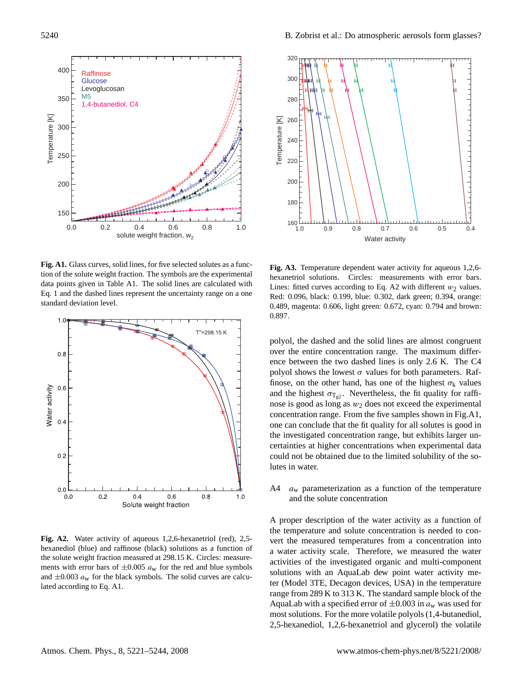

**Fig. A1.** Glass curves, solid lines, for five selected solutes as a function of the solute weight fraction. The symbols are the experimental data points given in Table A1. The solid lines are calculated with Eq. 1 and the dashed lines represent the uncertainty range on a one standard deviation level.



**Fig. A2.** Water activity of aqueous 1,2,6-hexanetriol (red), 2,5 hexanediol (blue) and raffinose (black) solutions as a function of the solute weight fraction measured at 298.15 K. Circles: measurements with error bars of  $\pm 0.005 a_w$  for the red and blue symbols and  $\pm 0.003 a_w$  for the black symbols. The solid curves are calculated according to Eq. A1.



**Fig. A3.** Temperature dependent water activity for aqueous 1,2,6 hexanetriol solutions. Circles: measurements with error bars. Lines: fitted curves according to Eq. A2 with different  $w_2$  values. Red: 0.096, black: 0.199, blue: 0.302, dark green; 0.394, orange: 0.489, magenta: 0.606, light green: 0.672, cyan: 0.794 and brown: 0.897.

polyol, the dashed and the solid lines are almost congruent over the entire concentration range. The maximum difference between the two dashed lines is only 2.6 K. The C4 polyol shows the lowest  $\sigma$  values for both parameters. Raffinose, on the other hand, has one of the highest  $\sigma_k$  values and the highest  $\sigma_{T_{g2}}$ . Nevertheless, the fit quality for raffinose is good as long as  $w_2$  does not exceed the experimental concentration range. From the five samples shown in Fig.A1, one can conclude that the fit quality for all solutes is good in the investigated concentration range, but exhibits larger uncertainties at higher concentrations when experimental data could not be obtained due to the limited solubility of the solutes in water.

A4  $a_w$  parameterization as a function of the temperature and the solute concentration

A proper description of the water activity as a function of the temperature and solute concentration is needed to convert the measured temperatures from a concentration into a water activity scale. Therefore, we measured the water activities of the investigated organic and multi-component solutions with an AquaLab dew point water activity meter (Model 3TE, Decagon devices, USA) in the temperature range from 289 K to 313 K. The standard sample block of the AquaLab with a specified error of  $\pm 0.003$  in  $a_w$  was used for most solutions. For the more volatile polyols (1,4-butanediol, 2,5-hexanediol, 1,2,6-hexanetriol and glycerol) the volatile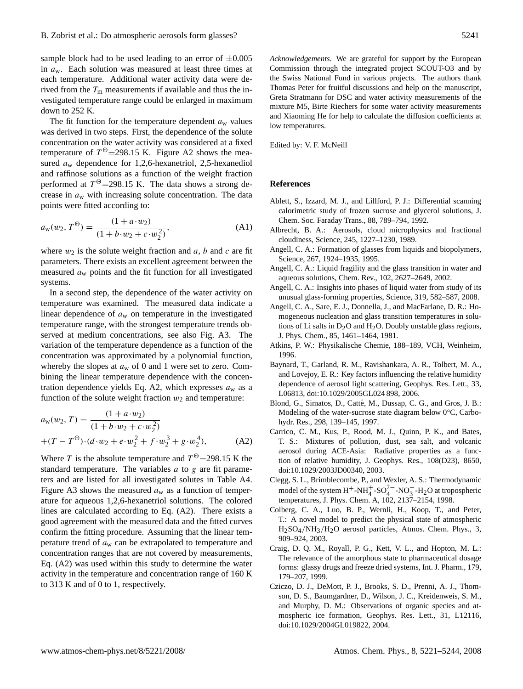sample block had to be used leading to an error of  $\pm 0.005$ in  $a_w$ . Each solution was measured at least three times at each temperature. Additional water activity data were derived from the  $T<sub>m</sub>$  measurements if available and thus the investigated temperature range could be enlarged in maximum down to 252 K.

The fit function for the temperature dependent  $a_w$  values was derived in two steps. First, the dependence of the solute concentration on the water activity was considered at a fixed temperature of  $T^{\Theta}$ =298.15 K. Figure A2 shows the measured  $a_w$  dependence for 1,2,6-hexanetriol, 2,5-hexanediol and raffinose solutions as a function of the weight fraction performed at  $T^{\Theta}$ =298.15 K. The data shows a strong decrease in  $a_w$  with increasing solute concentration. The data points were fitted according to:

$$
a_{w}(w_2, T^{\Theta}) = \frac{(1 + a \cdot w_2)}{(1 + b \cdot w_2 + c \cdot w_2^2)},
$$
 (A1)

where  $w_2$  is the solute weight fraction and  $a, b$  and  $c$  are fit parameters. There exists an excellent agreement between the measured  $a_w$  points and the fit function for all investigated systems.

In a second step, the dependence of the water activity on temperature was examined. The measured data indicate a linear dependence of  $a_w$  on temperature in the investigated temperature range, with the strongest temperature trends observed at medium concentrations, see also Fig. A3. The variation of the temperature dependence as a function of the concentration was approximated by a polynomial function, whereby the slopes at  $a_w$  of 0 and 1 were set to zero. Combining the linear temperature dependence with the concentration dependence yields Eq. A2, which expresses  $a_w$  as a function of the solute weight fraction  $w_2$  and temperature:

$$
a_w(w_2, T) = \frac{(1 + a \cdot w_2)}{(1 + b \cdot w_2 + c \cdot w_2^2)}
$$
  
+(T - T<sup>Θ</sup>) · (d · w<sub>2</sub> + e · w<sub>2</sub><sup>2</sup> + f · w<sub>2</sub><sup>3</sup> + g · w<sub>2</sub><sup>4</sup>), (A2)

Where T is the absolute temperature and  $T^{\Theta}$  = 298.15 K the standard temperature. The variables  $a$  to  $g$  are fit parameters and are listed for all investigated solutes in Table A4. Figure A3 shows the measured  $a_w$  as a function of temperature for aqueous 1,2,6-hexanetriol solutions. The colored lines are calculated according to Eq. (A2). There exists a good agreement with the measured data and the fitted curves confirm the fitting procedure. Assuming that the linear temperature trend of  $a_w$  can be extrapolated to temperature and concentration ranges that are not covered by measurements, Eq. (A2) was used within this study to determine the water activity in the temperature and concentration range of 160 K to 313 K and of 0 to 1, respectively.

*Acknowledgements.* We are grateful for support by the European Commission through the integrated project SCOUT-O3 and by the Swiss National Fund in various projects. The authors thank Thomas Peter for fruitful discussions and help on the manuscript, Greta Stratmann for DSC and water activity measurements of the mixture M5, Birte Riechers for some water activity measurements and Xiaoming He for help to calculate the diffusion coefficients at low temperatures.

Edited by: V. F. McNeill

### **References**

- Ablett, S., Izzard, M. J., and Lillford, P. J.: Differential scanning calorimetric study of frozen sucrose and glycerol solutions, J. Chem. Soc. Faraday Trans., 88, 789–794, 1992.
- Albrecht, B. A.: Aerosols, cloud microphysics and fractional cloudiness, Science, 245, 1227–1230, 1989.
- Angell, C. A.: Formation of glasses from liquids and biopolymers, Science, 267, 1924–1935, 1995.
- Angell, C. A.: Liquid fragility and the glass transition in water and aqueous solutions, Chem. Rev., 102, 2627–2649, 2002.
- Angell, C. A.: Insights into phases of liquid water from study of its unusual glass-forming properties, Science, 319, 582–587, 2008.
- Angell, C. A., Sare, E. J., Donnella, J., and MacFarlane, D. R.: Homogeneous nucleation and glass transition temperatures in solutions of Li salts in  $D_2O$  and  $H_2O$ . Doubly unstable glass regions, J. Phys. Chem., 85, 1461–1464, 1981.
- Atkins, P. W.: Physikalische Chemie, 188–189, VCH, Weinheim, 1996.
- Baynard, T., Garland, R. M., Ravishankara, A. R., Tolbert, M. A., and Lovejoy, E. R.: Key factors influencing the relative humidity dependence of aerosol light scattering, Geophys. Res. Lett., 33, L06813, doi:10.1029/2005GL024 898, 2006.
- Blond, G., Simatos, D., Catté, M., Dussap, C. G., and Gros, J. B.: Modeling of the water-sucrose state diagram below 0°C, Carbohydr. Res., 298, 139–145, 1997.
- Carrico, C. M., Kus, P., Rood, M. J., Quinn, P. K., and Bates, T. S.: Mixtures of pollution, dust, sea salt, and volcanic aerosol during ACE-Asia: Radiative properties as a function of relative humidity, J. Geophys. Res., 108(D23), 8650, doi:10.1029/2003JD00340, 2003.
- Clegg, S. L., Brimblecombe, P., and Wexler, A. S.: Thermodynamic model of the system  $H^+$ -NH<sub>4</sub><sup>-</sup>-SO<sub>4</sub><sup>2-</sup>-NO<sub>3</sub><sup>-</sup>-H<sub>2</sub>O at tropospheric temperatures, J. Phys. Chem. A, 102, 2137–2154, 1998.
- Colberg, C. A., Luo, B. P., Wernli, H., Koop, T., and Peter, T.: A novel model to predict the physical state of atmospheric H2SO4/NH3/H2O aerosol particles, Atmos. Chem. Phys., 3, 909–924, 2003.
- Craig, D. Q. M., Royall, P. G., Kett, V. L., and Hopton, M. L.: The relevance of the amorphous state to pharmaceutical dosage forms: glassy drugs and freeze dried systems, Int. J. Pharm., 179, 179–207, 1999.
- Cziczo, D. J., DeMott, P. J., Brooks, S. D., Prenni, A. J., Thomson, D. S., Baumgardner, D., Wilson, J. C., Kreidenweis, S. M., and Murphy, D. M.: Observations of organic species and atmospheric ice formation, Geophys. Res. Lett., 31, L12116, doi:10.1029/2004GL019822, 2004.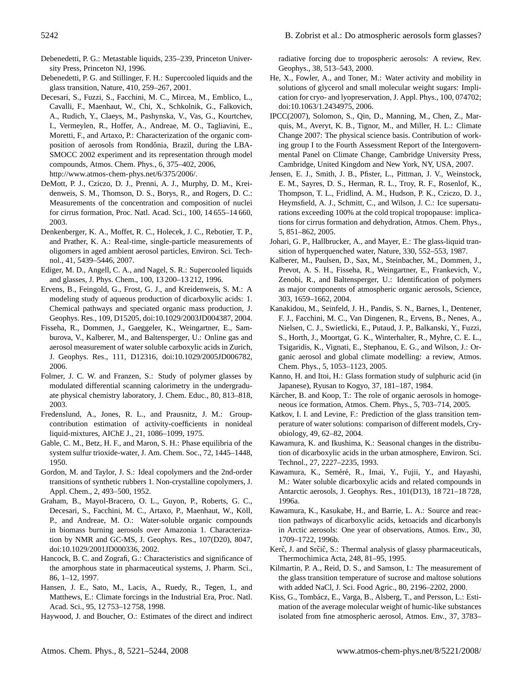- Debenedetti, P. G.: Metastable liquids, 235–239, Princeton University Press, Princeton NJ, 1996.
- Debenedetti, P. G. and Stillinger, F. H.: Supercooled liquids and the glass transition, Nature, 410, 259–267, 2001.
- Decesari, S., Fuzzi, S., Facchini, M. C., Mircea, M., Emblico, L., Cavalli, F., Maenhaut, W., Chi, X., Schkolnik, G., Falkovich, A., Rudich, Y., Claeys, M., Pashynska, V., Vas, G., Kourtchev, I., Vermeylen, R., Hoffer, A., Andreae, M. O., Tagliavini, E., Moretti, F., and Artaxo, P.: Characterization of the organic composition of aerosols from Rondônia, Brazil, during the LBA-SMOCC 2002 experiment and its representation through model compounds, Atmos. Chem. Phys., 6, 375–402, 2006, http://www.atmos-chem-phys.net/6/375/2006/.
- DeMott, P. J., Cziczo, D. J., Prenni, A. J., Murphy, D. M., Kreidenweis, S. M., Thomson, D. S., Borys, R., and Rogers, D. C.: Measurements of the concentration and composition of nuclei for cirrus formation, Proc. Natl. Acad. Sci., 100, 14 655–14 660, 2003.
- Denkenberger, K. A., Moffet, R. C., Holecek, J. C., Rebotier, T. P., and Prather, K. A.: Real-time, single-particle measurements of oligomers in aged ambient aerosol particles, Environ. Sci. Technol., 41, 5439–5446, 2007.
- Ediger, M. D., Angell, C. A., and Nagel, S. R.: Supercooled liquids and glasses, J. Phys. Chem., 100, 13 200–13 212, 1996.
- Ervens, B., Feingold, G., Frost, G. J., and Kreidenweis, S. M.: A modeling study of aqueous production of dicarboxylic acids: 1. Chemical pathways and speciated organic mass production, J. Geophys. Res., 109, D15205, doi:10.1029/2003JD004387, 2004.
- Fisseha, R., Dommen, J., Gaeggeler, K., Weingartner, E., Samburova, V., Kalberer, M., and Baltensperger, U.: Online gas and aerosol measurement of water soluble carboxylic acids in Zurich, J. Geophys. Res., 111, D12316, doi:10.1029/2005JD006782, 2006.
- Folmer, J. C. W. and Franzen, S.: Study of polymer glasses by modulated differential scanning calorimetry in the undergraduate physical chemistry laboratory, J. Chem. Educ., 80, 813–818, 2003.
- Fredenslund, A., Jones, R. L., and Prausnitz, J. M.: Groupcontribution estimation of activity-coefficients in nonideal liquid-mixtures, AIChE J., 21, 1086–1099, 1975.
- Gable, C. M., Betz, H. F., and Maron, S. H.: Phase equilibria of the system sulfur trioxide-water, J. Am. Chem. Soc., 72, 1445–1448, 1950.
- Gordon, M. and Taylor, J. S.: Ideal copolymers and the 2nd-order transitions of synthetic rubbers 1. Non-crystalline copolymers, J. Appl. Chem., 2, 493–500, 1952.
- Graham, B., Mayol-Bracero, O. L., Guyon, P., Roberts, G. C., Decesari, S., Facchini, M. C., Artaxo, P., Maenhaut, W., Köll, P., and Andreae, M. O.: Water-soluble organic compounds in biomass burning aerosols over Amazonia 1. Characterization by NMR and GC-MS, J. Geophys. Res., 107(D20), 8047, doi:10.1029/2001JD000336, 2002.
- Hancock, B. C. and Zografi, G.: Characteristics and significance of the amorphous state in pharmaceutical systems, J. Pharm. Sci., 86, 1–12, 1997.
- Hansen, J. E., Sato, M., Lacis, A., Ruedy, R., Tegen, I., and Matthews, E.: Climate forcings in the Industrial Era, Proc. Natl. Acad. Sci., 95, 12 753–12 758, 1998.
- Haywood, J. and Boucher, O.: Estimates of the direct and indirect

radiative forcing due to tropospheric aerosols: A review, Rev. Geophys., 38, 513–543, 2000.

- He, X., Fowler, A., and Toner, M.: Water activity and mobility in solutions of glycerol and small molecular weight sugars: Implication for cryo- and lyopreservation, J. Appl. Phys., 100, 074702; doi:10.1063/1.2434975, 2006.
- IPCC(2007), Solomon, S., Qin, D., Manning, M., Chen, Z., Marquis, M., Averyt, K. B., Tignor, M., and Miller, H. L.: Climate Change 2007: The physical science basis. Contribution of working group I to the Fourth Assessment Report of the Intergovernmental Panel on Climate Change, Cambridge University Press, Cambridge, United Kingdom and New York, NY, USA, 2007.
- Jensen, E. J., Smith, J. B., Pfister, L., Pittman, J. V., Weinstock, E. M., Sayres, D. S., Herman, R. L., Troy, R. F., Rosenlof, K., Thompson, T. L., Fridlind, A. M., Hudson, P. K., Cziczo, D. J., Heymsfield, A. J., Schmitt, C., and Wilson, J. C.: Ice supersaturations exceeding 100% at the cold tropical tropopause: implications for cirrus formation and dehydration, Atmos. Chem. Phys., 5, 851–862, 2005.
- Johari, G. P., Hallbrucker, A., and Mayer, E.: The glass-liquid transition of hyperquenched water, Nature, 330, 552–553, 1987.
- Kalberer, M., Paulsen, D., Sax, M., Steinbacher, M., Dommen, J., Prevot, A. S. H., Fisseha, R., Weingartner, E., Frankevich, V., Zenobi, R., and Baltensperger, U.: Identification of polymers as major components of atmospheric organic aerosols, Science, 303, 1659–1662, 2004.
- Kanakidou, M., Seinfeld, J. H., Pandis, S. N., Barnes, I., Dentener, F. J., Facchini, M. C., Van Dingenen, R., Ervens, B., Nenes, A., Nielsen, C. J., Swietlicki, E., Putaud, J. P., Balkanski, Y., Fuzzi, S., Horth, J., Moortgat, G. K., Winterhalter, R., Myhre, C. E. L., Tsigaridis, K., Vignati, E., Stephanou, E. G., and Wilson, J.: Organic aerosol and global climate modelling: a review, Atmos. Chem. Phys., 5, 1053–1123, 2005.
- Kanno, H. and Itoi, H.: Glass formation study of sulphuric acid (in Japanese), Ryusan to Kogyo, 37, 181–187, 1984.
- Kärcher, B. and Koop, T.: The role of organic aerosols in homogeneous ice formation, Atmos. Chem. Phys., 5, 703–714, 2005.
- Katkov, I. I. and Levine, F.: Prediction of the glass transition temperature of water solutions: comparison of different models, Cryobiology, 49, 62–82, 2004.
- Kawamura, K. and Ikushima, K.: Seasonal changes in the distribution of dicarboxylic acids in the urban atmosphere, Environ. Sci. Technol., 27, 2227–2235, 1993.
- Kawamura, K., Seméré, R., Imai, Y., Fujii, Y., and Hayashi, M.: Water soluble dicarboxylic acids and related compounds in Antarctic aerosols, J. Geophys. Res., 101(D13), 18 721–18 728, 1996a.
- Kawamura, K., Kasukabe, H., and Barrie, L. A.: Source and reaction pathways of dicarboxylic acids, ketoacids and dicarbonyls in Arctic aerosols: One year of observations, Atmos. Env., 30, 1709–1722, 1996b.
- Kerč, J. and Srčič, S.: Thermal analysis of glassy pharmaceuticals, Thermochimica Acta, 248, 81–95, 1995.
- Kilmartin, P. A., Reid, D. S., and Samson, I.: The measurement of the glass transition temperature of sucrose and maltose solutions with added NaCl, J. Sci. Food Agric., 80, 2196–2202, 2000.
- Kiss, G., Tombácz, E., Varga, B., Alsberg, T., and Persson, L.: Estimation of the average molecular weight of humic-like substances isolated from fine atmospheric aerosol, Atmos. Env., 37, 3783–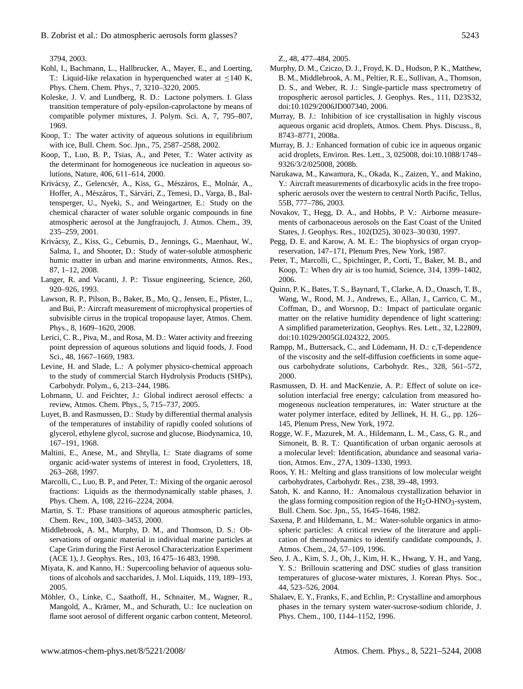3794, 2003.

- Kohl, I., Bachmann, L., Hallbrucker, A., Mayer, E., and Loerting, T.: Liquid-like relaxation in hyperquenched water at ≤140 K, Phys. Chem. Chem. Phys., 7, 3210–3220, 2005.
- Koleske, J. V. and Lundberg, R. D.: Lactone polymers. I. Glass transition temperature of poly-epsilon-caprolactone by means of compatible polymer mixtures, J. Polym. Sci. A, 7, 795–807, 1969.
- Koop, T.: The water activity of aqueous solutions in equilibrium with ice, Bull. Chem. Soc. Jpn., 75, 2587–2588, 2002.
- Koop, T., Luo, B. P., Tsias, A., and Peter, T.: Water activity as the determinant for homogeneous ice nucleation in aqueous solutions, Nature, 406, 611–614, 2000.
- Krivácsy, Z., Gelencsér, A., Kiss, G., Mészáros, E., Molnár, A., Hoffer, A., Mészáros, T., Sárvári, Z., Temesi, D., Varga, B., Baltensperger, U., Nyeki, S., and Weingartner, E.: Study on the chemical character of water soluble organic compounds in fine atmospheric aerosol at the Jungfraujoch, J. Atmos. Chem., 39, 235–259, 2001.
- Krivacsy, Z., Kiss, G., Ceburnis, D., Jennings, G., Maenhaut, W., ´ Salma, I., and Shooter, D.: Study of water-soluble atmospheric humic matter in urban and marine environments, Atmos. Res., 87, 1–12, 2008.
- Langer, R. and Vacanti, J. P.: Tissue engineering, Science, 260, 920–926, 1993.
- Lawson, R. P., Pilson, B., Baker, B., Mo, Q., Jensen, E., Pfister, L., and Bui, P.: Aircraft measurement of microphysical properties of subvisible cirrus in the tropical tropopause layer, Atmos. Chem. Phys., 8, 1609–1620, 2008.
- Lerici, C. R., Piva, M., and Rosa, M. D.: Water activity and freezing point depression of aqueous solutions and liquid foods, J. Food Sci., 48, 1667–1669, 1983.
- Levine, H. and Slade, L.: A polymer physico-chemical approach to the study of commercial Starch Hydrolysis Products (SHPs), Carbohydr. Polym., 6, 213–244, 1986.
- Lohmann, U. and Feichter, J.: Global indirect aerosol effects: a review, Atmos. Chem. Phys., 5, 715–737, 2005.
- Luyet, B. and Rasmussen, D.: Study by differential thermal analysis of the temperatures of instability of rapidly cooled solutions of glycerol, ethylene glycol, sucrose and glucose, Biodynamica, 10, 167–191, 1968.
- Maltini, E., Anese, M., and Shtylla, I.: State diagrams of some organic acid-water systems of interest in food, Cryoletters, 18, 263–268, 1997.
- Marcolli, C., Luo, B. P., and Peter, T.: Mixing of the organic aerosol fractions: Liquids as the thermodynamically stable phases, J. Phys. Chem. A, 108, 2216–2224, 2004.
- Martin, S. T.: Phase transitions of aqueous atmospheric particles, Chem. Rev., 100, 3403–3453, 2000.
- Middlebrook, A. M., Murphy, D. M., and Thomson, D. S.: Observations of organic material in individual marine particles at Cape Grim during the First Aerosol Characterization Experiment (ACE 1), J. Geophys. Res., 103, 16 475–16 483, 1998.
- Miyata, K. and Kanno, H.: Supercooling behavior of aqueous solutions of alcohols and saccharides, J. Mol. Liquids, 119, 189–193, 2005.
- Möhler, O., Linke, C., Saathoff, H., Schnaiter, M., Wagner, R., Mangold, A., Krämer, M., and Schurath, U.: Ice nucleation on flame soot aerosol of different organic carbon content, Meteorol.

Z., 48, 477–484, 2005.

- Murphy, D. M., Cziczo, D. J., Froyd, K. D., Hudson, P. K., Matthew, B. M., Middlebrook, A. M., Peltier, R. E., Sullivan, A., Thomson, D. S., and Weber, R. J.: Single-particle mass spectrometry of tropospheric aerosol particles, J. Geophys. Res., 111, D23S32, doi:10.1029/2006JD007340, 2006.
- Murray, B. J.: Inhibition of ice crystallisation in highly viscous aqueous organic acid droplets, Atmos. Chem. Phys. Discuss., 8, 8743–8771, 2008a.
- Murray, B. J.: Enhanced formation of cubic ice in aqueous organic acid droplets, Environ. Res. Lett., 3, 025008, doi:10.1088/1748– 9326/3/2/025008, 2008b.
- Narukawa, M., Kawamura, K., Okada, K., Zaizen, Y., and Makino, Y.: Aircraft measurements of dicarboxylic acids in the free tropospheric aerosols over the western to central North Pacific, Tellus, 55B, 777–786, 2003.
- Novakov, T., Hegg, D. A., and Hobbs, P. V.: Airborne measurements of carbonaceous aerosols on the East Coast of the United States, J. Geophys. Res., 102(D25), 30 023–30 030, 1997.
- Pegg, D. E. and Karow, A. M. E.: The biophysics of organ cryopreservation, 147–171, Plenum Pres, New York, 1987.
- Peter, T., Marcolli, C., Spichtinger, P., Corti, T., Baker, M. B., and Koop, T.: When dry air is too humid, Science, 314, 1399–1402, 2006.
- Quinn, P. K., Bates, T. S., Baynard, T., Clarke, A. D., Onasch, T. B., Wang, W., Rood, M. J., Andrews, E., Allan, J., Carrico, C. M., Coffman, D., and Worsnop, D.: Impact of particulate organic matter on the relative humidity dependence of light scattering: A simplified parameterization, Geophys. Res. Lett., 32, L22809, doi:10.1029/2005GL024322, 2005.
- Rampp, M., Buttersack, C., and Lüdemann, H. D.: c, T-dependence of the viscosity and the self-diffusion coefficients in some aqueous carbohydrate solutions, Carbohydr. Res., 328, 561–572, 2000.
- Rasmussen, D. H. and MacKenzie, A. P.: Effect of solute on icesolution interfacial free energy; calculation from measured homogeneous nucleation temperatures, in: Water structure at the water polymer interface, edited by Jellinek, H. H. G., pp. 126– 145, Plenum Press, New York, 1972.
- Rogge, W. F., Mazurek, M. A., Hildemann, L. M., Cass, G. R., and Simoneit, B. R. T.: Quantification of urban organic aerosols at a molecular level: Identification, abundance and seasonal variation, Atmos. Env., 27A, 1309–1330, 1993.
- Roos, Y. H.: Melting and glass transitions of low molecular weight carbohydrates, Carbohydr. Res., 238, 39–48, 1993.
- Satoh, K. and Kanno, H.: Anomalous crystallization behavior in the glass forming composition region of the  $H<sub>2</sub>O-HNO<sub>3</sub>$ -system, Bull. Chem. Soc. Jpn., 55, 1645–1646, 1982.
- Saxena, P. and Hildemann, L. M.: Water-soluble organics in atmospheric particles: A critical review of the literature and application of thermodynamics to identify candidate compounds, J. Atmos. Chem., 24, 57–109, 1996.
- Seo, J. A., Kim, S. J., Oh, J., Kim, H. K., Hwang, Y. H., and Yang, Y. S.: Brillouin scattering and DSC studies of glass transition temperatures of glucose-water mixtures, J. Korean Phys. Soc., 44, 523–526, 2004.
- Shalaev, E. Y., Franks, F., and Echlin, P.: Crystalline and amorphous phases in the ternary system water-sucrose-sodium chloride, J. Phys. Chem., 100, 1144–1152, 1996.